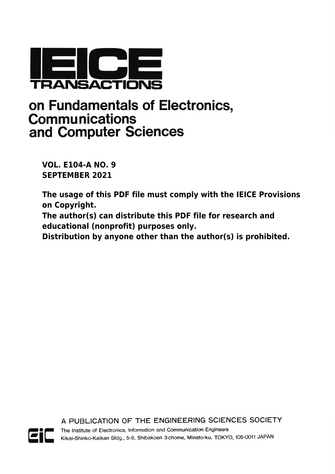

# on Fundamentals of Electronics, **Communications** and Computer Sciences

**VOL. E104-A NO. 9 SEPTEMBER 2021**

**The usage of this PDF file must comply with the IEICE Provisions on Copyright.**

**The author(s) can distribute this PDF file for research and educational (nonprofit) purposes only.**

**Distribution by anyone other than the author(s) is prohibited.**

A PUBLICATION OF THE ENGINEERING SCIENCES SOCIETY



The Institute of Electronics, Information and Communication Engineers Kikai-Shinko-Kaikan Bldg., 5-8, Shibakoen 3 chome, Minato-ku, TOKYO, 105-0011 JAPAN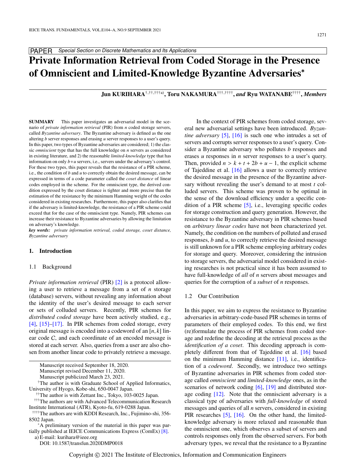# Private Information Retrieval from Coded Storage in the Presence of Omniscient and Limited-Knowledge Byzantine Adversaries<sup>∗</sup>

Jun KURIHARA†,††,†††a), Toru NAKAMURA†††,†††† , *and* Ryu WATANABE†††† , *Members*

SUMMARY This paper investigates an adversarial model in the scenario of *private information retrieval* (PIR) from *n* coded storage servers, called *Byzantine adversary*. The Byzantine adversary is defined as the one altering *b* server responses and erasing *u* server responses to a user's query. In this paper, two types of Byzantine adversaries are considered; 1) the classic *omniscient* type that has the full knowledge on *n* servers as considered in existing literature, and 2) the reasonable *limited-knowledge* type that has information on only *b*+*u* servers, i.e., servers under the adversary's control. For these two types, this paper reveals that the resistance of a PIR scheme, i.e., the condition of *b* and *u* to correctly obtain the desired message, can be expressed in terms of a code parameter called the *coset distance* of linear codes employed in the scheme. For the omniscient type, the derived condition expressed by the coset distance is tighter and more precise than the estimation of the resistance by the minimum Hamming weight of the codes considered in existing researches. Furthermore, this paper also clarifies that if the adversary is limited-knowledge, the resistance of a PIR scheme could exceed that for the case of the omniscient type. Namely, PIR schemes can increase their resistance to Byzantine adversaries by allowing the limitation on adversary's knowledge.

*key words: private information retrieval, coded storage, coset distance, Byzantine adversary*

# 1. Introduction

#### 1.1 Background

*Private information retrieval* (PIR) [\[2\]](#page-10-0) is a protocol allowing a user to retrieve a message from a set of *n* storage (database) servers, without revealing any information about the identity of the user's desired message to each server or sets of colluded servers. Recently, PIR schemes for *distributed coded storage* have been actively studied, e.g., [\[4\],](#page-10-1) [\[15\]–](#page-11-0)[\[17\].](#page-11-1) In PIR schemes from coded storage, every original message is encoded into a codeword of an [*n*, *<sup>k</sup>*] linear code C, and each coordinate of an encoded message is stored at each server. Also, queries from a user are also chosen from another linear code to privately retrieve a message.

†The author is with Graduate School of Applied Informatics, University of Hyogo, Kobe-shi, 650-0047 Japan.

- ††††The authors are with KDDI Research, Inc., Fujimino-shi, 356- 8502 Japan.
- <sup>∗</sup>A preliminary version of the material in this paper was partially published at IEICE Communications Express (ComEx) [\[8\].](#page-10-2)

a) E-mail: kurihara@ieee.org

DOI: 10.1587/transfun.2020DMP0018

In the context of PIR schemes from coded storage, several new adversarial settings have been introduced. *Byzantine adversary* [\[5\],](#page-10-3) [\[16\]](#page-11-2) is such one who intrudes a set of servers and corrupts server responses to a user's query. Consider a Byzantine adversary who pollutes *b* responses and erases *u* responses in *n* server responses to a user's query. Then, provided  $n > k + t + 2b + u - 1$ , the explicit scheme of Tajeddine et al. [\[16\]](#page-11-2) allows a user to correctly retrieve the desired message in the presence of the Byzantine adversary without revealing the user's demand to at most *t* colluded servers. This scheme was proven to be optimal in the sense of the download efficiency under a specific condition of a PIR scheme [\[5\],](#page-10-3) i.e., leveraging specific codes for storage construction and query generation. However, the resistance to the Byzantine adversary in PIR schemes based on *arbitrary linear codes* have not been characterized yet. Namely, the condition on the numbers of polluted and erased responses, *b* and *u*, to correctly retrieve the desired message is still unknown for a PIR scheme employing arbitrary codes for storage and query. Moreover, considering the intrusion to storage servers, the adversarial model considered in existing researches is not practical since it has been assumed to have full-knowledge of *all* of *n* servers about messages and queries for the corruption of a *subset* of *n* responses.

# 1.2 Our Contribution

In this paper, we aim to express the resistance to Byzantine adversaries in arbitrary-code-based PIR schemes in terms of parameters of their employed codes. To this end, we first (re)formulate the process of PIR schemes from coded storage and redefine the decoding at the retrieval process as the *identification of a coset*. This decoding approach is completely different from that of Tajeddine et al. [\[16\]](#page-11-2) based on the minimum Hamming distance [\[11\],](#page-10-4) i.e., identification of a *codeword*. Secondly, we introduce two settings of Byzantine adversaries in PIR schemes from coded storage called *omniscient* and *limited-knowledge* ones, as in the scenarios of network coding [\[6\],](#page-10-5) [\[19\]](#page-11-3) and distributed storage coding  $[12]$ . Note that the omniscient adversary is a classical type of adversaries with *full-knowledge* of stored messages and queries of all *n* servers, considered in existing PIR researches [\[5\],](#page-10-3) [\[16\].](#page-11-2) On the other hand, the limitedknowledge adversary is more relaxed and reasonable than the omniscient one, which observes a subset of servers and controls responses only from the observed servers. For both adversary types, we reveal that the resistance to a Byzantine

Manuscript received September 18, 2020.

Manuscript revised December 11, 2020.

Manuscript publicized March 23, 2021.

<sup>††</sup>The author is with Zettant Inc., Tokyo, 103-0025 Japan.

<sup>†††</sup>The authors are with Advanced Telecommunication Research Institute International (ATR), Kyoto-fu, 619-0288 Japan.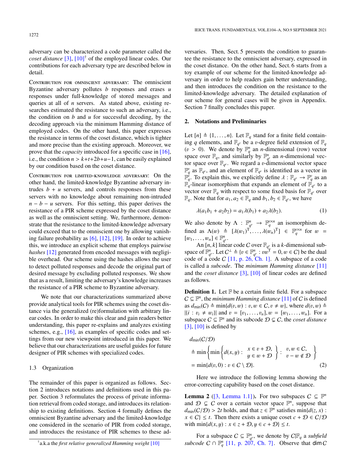adversary can be characterized a code parameter called the *coset distance* [\[3\],](#page-10-6) [\[10\]](#page-10-7)† of the employed linear codes. Our contributions for each adversary type are described below in detail.

CONTRIBUTION FOR OMNISCIENT ADVERSARY: The omniscient Byzantine adversary pollutes *b* responses and erases *u* responses under full-knowledge of stored messages and queries at all of *n* servers. As stated above, existing researches estimated the resistance to such an adversary, i.e., the condition on *b* and *u* for successful decoding, by the decoding approach via the minimum Hamming distance of employed codes. On the other hand, this paper expresses the resistance in terms of the coset distance, which is tighter and more precise than the existing approach. Moreover, we prove that the *capacity* introduced for a specific case in [\[16\],](#page-11-2) i.e., the condition  $n > k+t+2b+u-1$ , can be easily explained by our condition based on the coset distance.

Contribution for limited-knowledge adversary: On the other hand, the limited-knowledge Byzantine adversary intrudes  $b + u$  servers, and controls responses from these servers with no knowledge about remaining non-intruded  $n - b - u$  servers. For this setting, this paper derives the resistance of a PIR scheme expressed by the coset distance as well as the omniscient setting. We, furthermore, demonstrate that the resistance to the limited-knowledge adversary could exceed that to the omniscient one by allowing vanishing failure probability as [\[6\],](#page-10-5) [\[12\],](#page-11-4) [\[19\].](#page-11-3) In order to achieve this, we introduce an explicit scheme that employs pairwise *hashes* [\[12\]](#page-11-4) generated from encoded messages with negligible overhead. Our scheme using the hashes allows the user to detect polluted responses and decode the original part of desired message by excluding polluted responses. We show that as a result, limiting the adversary's knowledge increases the resistance of a PIR scheme to Byzantine adversary.

We note that our characterizations summarized above provide analytical tools for PIR schemes using the coset distance via the generalized (re)formulation with arbitrary linear codes. In order to make this clear and gain readers better understanding, this paper re-explains and analyzes existing schemes, e.g., [\[16\],](#page-11-2) as examples of specific codes and settings from our new viewpoint introduced in this paper. We believe that our characterizations are useful guides for future designer of PIR schemes with specialized codes.

# 1.3 Organization

The remainder of this paper is organized as follows. Section 2 introduces notations and definitions used in this paper. Section 3 reformulates the process of private information retrieval from coded storage, and introduces its relationship to existing definitions. Section 4 formally defines the omniscient Byzantine adversary and the limited-knowledge one considered in the scenario of PIR from coded storage, and introduces the resistance of PIR schemes to these adversaries. Then, Sect. 5 presents the condition to guarantee the resistance to the omniscient adversary, expressed in the coset distance. On the other hand, Sect. 6 starts from a toy example of our scheme for the limited-knowledge adversary in order to help readers gain better understanding, and then introduces the condition on the resistance to the limited-knowledge adversary. The detailed explanation of our scheme for general cases will be given in Appendix. Section 7 finally concludes this paper.

# 2. Notations and Preliminaries

Let  $[n] \triangleq \{1, \ldots, n\}$ . Let  $\mathbb{F}_q$  stand for a finite field containing *q* elements, and  $\mathbb{F}_{q^p}$  be a *v*-degree field extension of  $\mathbb{F}_q$ <br>(*n* > 0) We denote by  $\mathbb{F}^n$  an *n*-dimensional (row) vector  $(v > 0)$ . We denote by  $\mathbb{F}_q^n$  an *n*-dimensional (row) vector space over  $\mathbb{F}_q$  and similarly by  $\mathbb{F}_q^n$  an *n*-dimensional vecspace over  $\mathbb{F}_q$ , and similarly by  $\mathbb{F}_{q^p}^n$  an *n*-dimensional vector space over  $\mathbb{F}_{q}$ . We regard a v-dimensional vector space  $\mathbb{F}_{q}^v$  as  $\mathbb{F}_{q}$  and an element of  $\mathbb{F}_{q}$  is identified as a vector in  $\mathbb{F}_q^v$  as  $\mathbb{F}_{q^v}$ , and an element of  $\mathbb{F}_{q^v}$  is identified as a vector in  $\mathbb{F}_q^{\vec{v}}$ . To explain this, we explicitly define  $\lambda : \mathbb{F}_{q^v} \to \mathbb{F}_q^v$  as an  $\mathbb{F}_q$ -linear isomorphism that expands an element of  $\mathbb{F}_q$ , to a  $\mathbb{F}_q^7$ -linear isomorphism that expands an element of  $\mathbb{F}_{q^v}$  to a vector over  $\mathbb{F}_q$  with respect to some fixed basis for  $\mathbb{F}_{q^v}$  over  $\mathbb{F}_q$ . Note that for  $a_1, a_2 \in \mathbb{F}_q$  and  $b_1, b_2 \in \mathbb{F}_{q^e}$ , we have

$$
\lambda(a_1b_1 + a_2b_2) = a_1\lambda(b_1) + a_2\lambda(b_2).
$$
 (1)

We also denote by  $\Lambda : \mathbb{F}_{q^v}^n \to \mathbb{F}_{q^v}^{\nu \times n}$  an isomorphism defined as  $\Lambda(w) \triangleq [\lambda(w_1)^T, \dots, \lambda(w_n)^T] \in \mathbb{F}_q^{v \times n}$  for  $w = [w_1, \dots, w_n] \in \mathbb{F}_q^n$  $[w_1, \ldots, w_n] \in \mathbb{F}_{q^v}^n$ .<br>An [*n k*] line

An  $[n, k]$  linear code C over  $\mathbb{F}_{q^p}$  is a *k*-dimensional sub-<br>  $\alpha$  of  $\mathbb{F}^n$ . Let  $C^{\perp} \triangleq \{n \in \mathbb{F}^n : \nu \nu \}$  = 0  $w \in C$  be the dual space of  $\mathbb{F}_{q^v}^n$ . Let  $C^{\perp} \triangleq \{v \in \mathbb{F}_{q^v}^n : vw^{\mathrm{T}} = 0, w \in C\}$  be the dual code of a code *C* [\[11, p. 26, Ch. 1\].](#page-10-4) A subspace of a code is called a *subcode*. The *minimum Hamming distance* [\[11\]](#page-10-4) and the *coset distance* [\[3\],](#page-10-6) [\[10\]](#page-10-7) of linear codes are defined as follows.

**Definition 1.** Let  $F$  be a certain finite field. For a subspace  $C \subseteq \mathbb{F}^n$ , the *minimum Hamming distance* [\[11\]](#page-10-4) of C is defined as  $d_{\text{min}}(C) \triangleq \min\{d(v, w) : v, w \in C, v \neq w\}$ , where  $d(v, w) \triangleq$  $|\{i : v_i \neq w_i\}|$  and  $v = [v_1, \ldots, v_n], w = [w_1, \ldots, w_n].$  For a subspace  $C \subseteq \mathbb{F}^n$  and its subcode  $D \subsetneq C$ , the *coset distance*  $[3]$ ,  $[10]$  is defined by

$$
d_{\min}(C/\mathcal{D})
$$
  
\n
$$
\triangleq \min \left\{ \min \left\{ d(x, y) : \begin{array}{l} x \in v + \mathcal{D}, \\ y \in w + \mathcal{D} \end{array} \right\} : \begin{array}{l} v, w \in C, \\ v - w \notin \mathcal{D} \end{array} \right\}
$$
  
\n
$$
= \min \{ d(v, 0) : v \in C \setminus \mathcal{D} \}. \tag{2}
$$

Here we introduce the following lemma showing the error-correcting capability based on the coset distance.

**Lemma 2** [\(\[3, Lemma 1.1\]](#page-10-6)). For two subspaces  $C \subseteq \mathbb{F}^n$ and  $\mathcal{D} \subsetneq C$  over a certain vector space  $\mathbb{F}^n$ , suppose that  $d_{\text{min}}(C/\mathcal{D}) > 2t$  holds, and that  $z \in \mathbb{F}^n$  satisfies  $\min\{d(z, x) : x \in C\} \le t$ . Then there exists a unique coset  $c + \mathcal{D} \in C/\mathcal{D}$  $x \in C$   $\leq t$ . Then there exists a unique coset  $c + D \in C/D$ with  $\min\{d(x, y) : x \in z + \mathcal{D}, y \in c + \mathcal{D}\} \leq t$ .

For a subspace  $C \subseteq \mathbb{F}_{q^p}^n$ , we denote by  $C|\mathbb{F}_q$  a *subfield subcode*  $C \cap \mathbb{F}_q^n$  [\[11, p. 207, Ch. 7\]](#page-10-4). Observe that dim C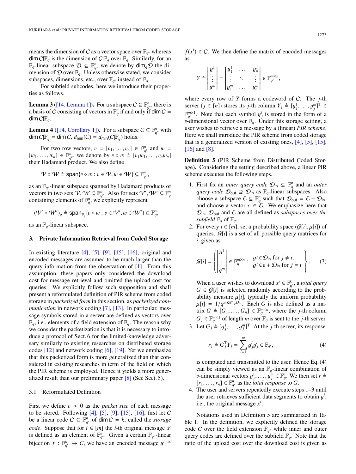means the dimension of C as a vector space over  $\mathbb{F}_{q^v}$  whereas  $\dim C\mathbb{F}_q$  is the dimension of  $C\mathbb{F}_q$  over  $\mathbb{F}_q$ . Similarly, for an  $\mathbb{F}_q$ -linear subspace  $\mathcal{D} \subseteq \mathbb{F}_q^n$ , we denote by  $\dim_q \mathcal{D}$  the dimension of  $D$  over  $\mathbb{F}_q$ . Unless otherwise stated, we consider subspaces, dimensions, etc., over  $\mathbb{F}_{q^v}$  instead of  $\mathbb{F}_q$ .

For subfield subcodes, here we introduce their properties as follows.

**Lemma 3** [\(\[14, Lemma 1\]\)](#page-11-5). For a subspace  $C \subseteq \mathbb{F}_{q^c}^n$ , there is a basis of C consisting of vectors in  $\mathbb{F}_q^n$  if and only if  $\dim C =$ dim  $C|F_q$ .

**Lemma 4** [\(\[14, Corollary 1\]\)](#page-11-5). For a subspace  $C \subseteq \mathbb{F}_{q^v}^n$  with dim  $C|\mathbb{F}_q = \dim C$ ,  $d_{\text{min}}(C) = d_{\text{min}}(C|\mathbb{F}_q)$  holds.

For two row vectors,  $v = [v_1, \ldots, v_n] \in \mathbb{F}_q^n$  and  $w =$ <br> $w \perp \in \mathbb{F}^n$  we denote by  $v \circ w \triangleq [v_1 w_1, \ldots, v_n w_n]$  $[w_1, \ldots, w_n] \in \mathbb{F}_{q^e}^n$ , we denote by  $v \circ w \triangleq [v_1w_1, \ldots, v_nw_n]$ <br>their Hadamard product. We also define their Hadamard product. We also define

$$
\mathcal{V}\circ\mathcal{W}\triangleq\text{span}\{v\circ w:v\in\mathcal{V},w\in\mathcal{W}\}\subseteq\mathbb{F}_{q^v}^n,
$$

as an  $\mathbb{F}_{q^v}$ -linear subspace spanned by Hadamard products of vectors in two sets  $\overline{V}$ ,  $W \subseteq \mathbb{F}_{q}^{n}$ . Also for sets  $\overline{V'}$ ,  $W' \subseteq \mathbb{F}_{q}^{n}$ <br>containing elements of  $\mathbb{F}^{n}$ , we explicitly represent containing elements of  $\mathbb{F}_q^n$ , we explicitly represent

$$
(\mathcal{V}' \circ \mathcal{W}')_q \triangleq \text{span}_{\mathbb{F}_q} \{v \circ w : v \in \mathcal{V}', w \in \mathcal{W}'\} \subseteq \mathbb{F}_q^n,
$$

as an  $\mathbb{F}_q$ -linear subspace.

# 3. Private Information Retrieval from Coded Storage

In existing literature  $[4]$ ,  $[5]$ ,  $[9]$ ,  $[15]$ ,  $[16]$ , original and encoded messages are assumed to be much larger than the query information from the observation of [\[1\].](#page-10-9) From this assumption, these papers only considered the download cost for message retrieval and omitted the upload cost for queries. We explicitly follow such supposition and shall present a reformulated definition of PIR scheme from coded storage in *packetized form* in this section, as *packetized communication* in network coding [\[7\],](#page-10-10) [\[13\].](#page-11-6) In particular, message symbols stored in a server are defined as vectors over  $\mathbb{F}_q$ , i.e., elements of a field extension of  $\mathbb{F}_q$ . The reason why we consider the packetization is that it is necessary to introduce a protocol of Sect. 6 for the limited-knowledge adversary similarly to existing researches on distributed storage codes [\[12\]](#page-11-4) and network coding [\[6\],](#page-10-5) [\[19\].](#page-11-3) Yet we emphasize that this packetized form is more generalized than that considered in existing researches in term of the field on which the PIR scheme is employed. Hence it yields a more generalized result than our preliminary paper [\[8\]](#page-10-2) (See Sect. 5).

# 3.1 Reformulated Definition

First we define v > 0 as the *packet size* of each message to be stored. Following  $[4]$ ,  $[5]$ ,  $[9]$ ,  $[15]$ ,  $[16]$ , first let C be a linear code  $C \subseteq \mathbb{F}_{q^v}^n$  of dim  $C = k$ , called the *storage code*. Suppose that for  $i \in [m]$  the *i*-th original message  $x^i$ is defined as an element of  $\mathbb{F}_{q^v}^k$ . Given a certain  $\mathbb{F}_{q^v}$ -linear bijection  $f : \mathbb{F}_{q^v}^k \to C$ , we have an encoded message  $y^i \triangleq$ 

 $f(x^i) \in C$ . We then define the matrix of encoded messages as

$$
Y \triangleq \begin{bmatrix} y^1 \\ \vdots \\ y^m \end{bmatrix} = \begin{bmatrix} y_1^1 & \cdots & y_n^1 \\ \vdots & \ddots & \vdots \\ y_1^m & \cdots & y_n^m \end{bmatrix} \in \mathbb{F}_{q^v}^{m \times n},
$$

where every row of *Y* forms a codeword of C. The *j*-th server  $(j \in [n])$  stores its *j*-th column  $Y_j \triangleq [y_j^1, \ldots, y_j^m]$ <sup>T</sup>  $\in$ <br> $\mathbb{E}^{m \times 1}$ . Note that each symbol *vi*, is stored in the form of a  $\mathbb{F}_{q^p}^{m \times 1}$ . Note that each symbol  $y^i_j$  is stored in the form of a  $j^p$   $j^p$  dimensional vector over  $\mathbb{F}_p$ . Inder this storage setting a v-dimensional vector over  $\mathbb{F}_q$ . Under this storage setting, a user wishes to retrieve a message by a (linear) *PIR scheme*. Here we shall introduce the PIR scheme from coded storage that is a generalized version of existing ones, [\[4\],](#page-10-1) [\[5\],](#page-10-3) [\[15\],](#page-11-0) [\[16\]](#page-11-2) and [\[8\].](#page-10-2)

Definition 5 (PIR Scheme from Distributed Coded Storage). Considering the setting described above, a linear PIR scheme executes the following steps.

- 1. First fix an *inner query code*  $\mathcal{D}_{\text{in}} \subseteq \mathbb{F}_q^n$  and an *outer query code*  $\mathcal{D}_{out} \supsetneq \mathcal{D}_{in}$  as  $\mathbb{F}_q$ -linear subspaces. Also choose a subspace  $\mathcal{E} \subset \mathbb{F}_q^n$  such that  $\mathcal{D}_{\text{out}} = \mathcal{E} + \mathcal{D}_{\text{in}}$ , and choose a vector  $\epsilon \in \mathcal{E}$ . We emphasize here that  $\mathcal{D}_{\text{in}}$ ,  $\mathcal{D}_{\text{out}}$  and  $\mathcal E$  are all defined as *subspaces over the subfield*  $\mathbb{F}_q$  of  $\mathbb{F}_{q^v}$ .
- 2. For every  $i \in [m]$ , set a probability space  $(\mathcal{G}[i], \mu[i])$  of queries. G[*i*] is a set of all possible query matrices for *i*, given as

$$
\mathcal{G}[i] = \left\{ \begin{bmatrix} g^1 \\ \vdots \\ g^m \end{bmatrix} \in \mathbb{F}_q^{m \times n} : \begin{array}{l} g^j \in \mathcal{D}_{\text{in}} \text{ for } j \neq i, \\ g^j \in \epsilon + \mathcal{D}_{\text{in}} \text{ for } j = i \end{array} \right\}.
$$
 (3)

When a user wishes to download  $x^i \in \mathbb{F}_{q^v}^k$ , a *total query*  $G \in \mathcal{G}[i]$  is selected randomly according to the probability measure  $\mu[i]$ , typically the uniform probability  $\mu[i] = 1/q^{m \dim_q \mathcal{D}_{\text{in}}}$ . Each *G* is also defined as a ma-<br>trix *G*  $\triangleq$  *G*. *G* 1  $\in \mathbb{R}^{m \times n}$  where the *i*-th column trix  $G \triangleq [G_1, \ldots, G_n] \in \mathbb{F}_q^{m \times n}$ , where the *j*-th column  $G \in \mathbb{F}^{m \times 1}$  of langth *m* over  $\mathbb{F}_q$  is sent to the *i* th server  $G_j \in \mathbb{F}_q^{m \times 1}$  of length *m* over  $\mathbb{F}_q$  is sent to the *j*-th server. 3. Let  $G_j \triangleq [g_j^1, \dots, g_j^m]^T$ . At the *j*-th server, its response

$$
r_j \triangleq G_j^{\mathrm{T}} Y_j = \sum_{l=1}^{m} g_j^l y_j^l \in \mathbb{F}_{q^v},\tag{4}
$$

is computed and transmitted to the user. Hence Eq. (4) can be simply viewed as an  $\mathbb{F}_q$ -linear combination of *v*-dimensional vectors  $y_j^1, \ldots, y_j^m \in \mathbb{F}_q^v$ . We then set  $r \triangleq [r, r] \in \mathbb{F}_q^m$  as the *total response* to  $G$  $[r_1, \ldots, r_n] \in \mathbb{F}_{q^p}^n$  as the *total response* to *G*.<br>The user and servers repeatedly execute ste

4. The user and servers repeatedly execute steps 1–3 until the user retrieves sufficient data segments to obtain  $y^i$ , i.e., the original message  $x^i$ i.e., the original message  $x^i$ .

Notations used in Definition 5 are summarized in Table 1. In the definition, we explicitly defined the storage code C over the field extension  $\mathbb{F}_{q^v}$  while inner and outer query codes are defined over the subfield  $\mathbb{F}_q$ . Note that the ratio of the upload cost over the download cost is given as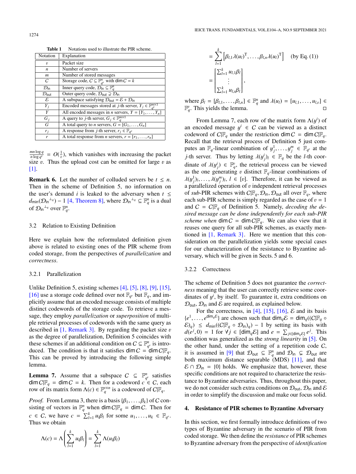| Notation                     | Explanation                                                                             |
|------------------------------|-----------------------------------------------------------------------------------------|
| $\boldsymbol{v}$             | Packet size                                                                             |
| n                            | Number of servers                                                                       |
| m                            | Number of stored messages                                                               |
| C                            | Storage code, $C \subseteq \mathbb{F}_{q^v}^n$ with dim $C = k$                         |
| $\mathcal{D}_{\text{in}}$    | Inner query code, $\mathcal{D}_{in} \subseteq \mathbb{F}_q^n$                           |
| $\mathcal{D}_{\mathsf{out}}$ | Outer query code, $\mathcal{D}_{\text{out}} \supsetneq \mathcal{D}_{\text{in}}$         |
| ε                            | A subspace satisfying $\mathcal{D}_{out} = \mathcal{E} + \mathcal{D}_{in}$              |
| $Y_i$                        | Encoded messages stored at <i>j</i> -th server, $Y_j \in \mathbb{F}_{q^v}^{m \times 1}$ |
| Y                            | All encoded messages in <i>n</i> servers, $Y = [Y_1, \ldots, Y_n]$                      |
| $G_i$                        | A query to <i>j</i> -th server, $G_i \in \mathbb{F}_q^{m \times 1}$                     |
| G                            | A total query to <i>n</i> servers, $G = [G_1, \ldots, G_n]$                             |
| $r_i$                        | A response from <i>j</i> -th server, $r_i \in \mathbb{F}_{q^v}$                         |
| r                            | A total response from <i>n</i> servers, $r = [r_1, \ldots, r_n]$                        |

Table 1 Notations used to illustrate the PIR scheme.

*mn* log *q*  $\frac{mn \log q}{n \log q^v} = O(\frac{1}{v})$ , which vanishes with increasing the packet size v. Thus the upload cost can be omitted for large v as [\[1\].](#page-10-9)

**Remark 6.** Let the number of colluded servers be  $t \leq n$ . Then in the scheme of Definition 5, no information on the user's demand *i* is leaked to the adversary when  $t \leq$  $d_{\text{min}}(\mathcal{D}_{\text{in}}^{\perp_q}) - 1$  [\[4, Theorem 8\],](#page-10-1) where  $\mathcal{D}_{\text{in}}^{\perp_q} \subseteq \mathbb{F}_q^n$  is a dual of  $\mathcal{D}_{\text{in}}^{\perp_q}$  over  $\mathbb{F}_q^n$ .

# 3.2 Relation to Existing Definition

Here we explain how the reformulated definition given above is related to existing ones of the PIR scheme from coded storage, from the perspectives of *parallelization* and *correctness*.

#### 3.2.1 Parallelization

Unlike Definition 5, existing schemes [\[4\],](#page-10-1) [\[5\],](#page-10-3) [\[8\],](#page-10-2) [\[9\],](#page-10-8) [\[15\],](#page-11-0) [\[16\]](#page-11-2) use a storage code defined over not  $\mathbb{F}_{q}$  but  $\mathbb{F}_{q}$ , and implicitly assume that an encoded message consists of multiple distinct codewords of the storage code. To retrieve a message, they employ *parallelization* or *superposition* of multiple retrieval processes of codewords with the same query as described in  $[1,$  Remark 3]. By regarding the packet size v as the degree of parallelization, Definition 5 coincides with these schemes if an additional condition on  $C \subseteq \mathbb{F}_{q^v}^n$  is introduced. The condition is that it satisfies  $\dim C = \dim C \mathbb{F}_q$ . This can be proved by introducing the following simple lemma.

**Lemma 7.** Assume that a subspace  $C \subseteq \mathbb{F}_{q^p}^n$  satisfies  $\dim C|\mathbb{F}_q = \dim C = k$ . Then for a codeword  $c \in C$ , each row of its matrix form  $\Lambda(c) \in \mathbb{F}_q^{v \times n}$  is a codeword of  $C|\mathbb{F}_q$ .

*Proof.* From Lemma 3, there is a basis  $\{\beta_1, \ldots, \beta_k\}$  of C consisting of vectors in  $\mathbb{F}_q^n$  when dim  $C|\mathbb{F}_q| = \dim C$ . Then for *c* ∈ *C*, we have *c* =  $\sum_{l=1}^{k} u_l \beta_l$  for some  $u_1, \ldots, u_k \in \mathbb{F}_{q^v}$ .<br>Thus we obtain Thus we obtain

$$
\Lambda(c) = \Lambda \left( \sum_{l=1}^{k} u_l \beta_l \right) = \sum_{l=1}^{k} \Lambda(u_l \beta_l)
$$

$$
= \sum_{l=1}^{k} \left[ \beta_{l,1} \lambda(u_l)^{\mathrm{T}}, \dots, \beta_{l,n} \lambda(u_l)^{\mathrm{T}} \right] \quad \text{(by Eq. (1))}
$$
\n
$$
= \begin{bmatrix} \sum_{l=1}^{k} u_{l,1} \beta_l \\ \vdots \\ \sum_{l=1}^{k} u_{l,p} \beta_l \end{bmatrix},
$$

where  $\beta_l = [\beta_{l,1}, \dots, \beta_{l,n}] \in \mathbb{F}_q^n$  and  $\lambda(u_l) = [u_{l,1}, \dots, u_{l,v}] \in \mathbb{F}_q^n$  This vields the lemma  $\mathbb{F}_q^v$ . This yields the lemma.

From Lemma 7, each row of the matrix form  $\Lambda(y^i)$  of<br>acoded message  $y^i \in C$  can be viewed as a distinct an encoded message  $y^i \in C$  can be viewed as a distinct codeword of  $C \mathbb{F}$  under the restriction  $\dim C = \dim C \mathbb{F}$ codeword of  $C|F_q$  under the restriction dim  $C = \dim C|F_q$ . Recall that the retrieval process of Definition 5 just computes an  $\mathbb{F}_q$ -linear combination of  $y_j^1, \ldots, y_j^m \in \mathbb{F}_{q^p}$  at the *j*-th server. Thus by letting  $\lambda(y_j^i)_l \in \mathbb{F}_q$  be the *l*-th coor-<br>directo of  $\lambda(\mu^i) \in \mathbb{F}_q^n$  the patriary process can be viewed dinate of  $\lambda(y_j^i) \in \mathbb{F}_q^v$ , the retrieval process can be viewed<br>as the one generating *n* distinct **F** -linear combinations of as the one generating v distinct  $\mathbb{F}_q$ -linear combinations of  $\lambda(y_j^1)_l, \ldots, \lambda(y_j^m)_l, l \in [v]$ . Therefore, it can be viewed as a parallelized operation of *v* independent retrieval processes a parallelized operation of  $v$  independent retrieval processes of *sub*-PIR schemes with  $C/F_q$ ,  $\mathcal{D}_{\text{in}}$ ,  $\mathcal{D}_{\text{out}}$  all over  $F_q$ , where each sub-PIR scheme is simply regarded as the case of  $v = 1$ and  $C = C \mathbb{F}_q$  of Definition 5. Namely, *decoding the desired message can be done independently for each sub-PIR scheme when* dim  $C = \dim C \mathbb{F}_q$ . We can also view that it reuses one query for all sub-PIR schemes, as exactly mentioned in [\[1, Remark 3\]](#page-10-9). Here we mention that this consideration on the parallelization yields some special cases for our characterization of the resistance to Byzantine adversary, which will be given in Sects. 5 and 6.

#### 3.2.2 Correctness

The scheme of Definition 5 does not guarantee the *correctness* meaning that the user can correctly retrieve some coordinates of  $y^i$ , by itself. To guarantee it, extra conditions on  $\mathcal{D}_{\text{tot}}$ ,  $\mathcal{D}_{\text{tot}}$  and  $\mathcal{E}$  are required as explained below.  $\mathcal{D}_{\text{out}}$ ,  $\mathcal{D}_{\text{in}}$  and  $\mathcal E$  are required, as explained below.

For the correctness, in [\[4\],](#page-10-1) [\[15\],](#page-11-0) [\[16\],](#page-11-2)  $\mathcal{E}$  and its basis  ${e^1, \ldots, e^{\dim_q \mathcal{E}}\}$  are chosen such that  $\dim_q \mathcal{E} = \dim_q((C|\mathbb{F}_q \circ \mathcal{E})) \leq d_{\text{min}}((C|\mathbb{F}_q \circ \mathcal{D}_r)) = 1$  by setting its basis with  $(\mathcal{E})_q$ )  $\leq d_{\text{min}}((C|\mathbb{F}_q \circ \mathcal{D}_{\text{in}})_q) - 1$  by setting its basis with  $d(e^{j}, 0) = 1$  for  $\forall j \in [\text{dim}_{q} \mathcal{E}]$  and  $e = \sum_{j \in [\text{dim}_{q} \mathcal{E}]} e^{j}$ . This condition was generalized as the *strong linearity* in [\[5\].](#page-10-3) On the other hand, under the setting of a repetition code  $C$ , it is assumed in [\[9\]](#page-10-8) that  $\mathcal{D}_{\text{out}} \subseteq \mathbb{F}_q^n$  and  $\mathcal{D}_{\text{in}} \subsetneq \mathcal{D}_{\text{out}}$  are both maximum distance separable (MDS) [\[11\],](#page-10-4) and that  $\mathcal{E} \cap \mathcal{D}_{in} = \{0\}$  holds. We emphasize that, however, these specific conditions are not required to characterize the resistance to Byzantine adversaries. Thus, throughout this paper, we do not consider such extra conditions on  $\mathcal{D}_{\text{out}}$ ,  $\mathcal{D}_{\text{in}}$  and  $\mathcal E$ in order to simplify the discussion and make our focus solid.

#### 4. Resistance of PIR schemes to Byzantine Adversary

In this section, we first formally introduce definitions of two types of Byzantine adversary in the scenario of PIR from coded storage. We then define the *resistance* of PIR schemes to Byzantine adversary from the perspective of *identification*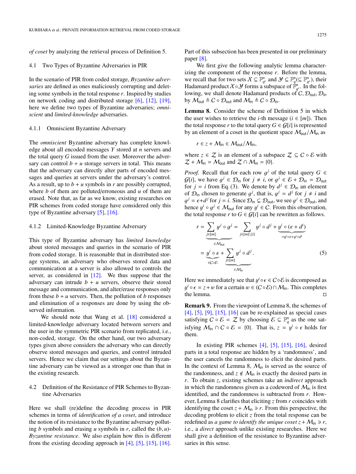*of coset* by analyzing the retrieval process of Definition 5.

#### 4.1 Two Types of Byzantine Adversaries in PIR

In the scenario of PIR from coded storage, *Byzantine adversaries* are defined as ones maliciously corrupting and deleting some symbols in the total response *r*. Inspired by studies on network coding and distributed storage [\[6\],](#page-10-5) [\[12\],](#page-11-4) [\[19\],](#page-11-3) here we define two types of Byzantine adversaries; *omniscient* and *limited-knowledge* adversaries.

#### 4.1.1 Omniscient Byzantine Adversary

The *omniscient* Byzantine adversary has complete knowledge about all encoded messages *Y* stored at *n* servers and the total query *G* issued from the user. Moreover the adversary can control  $b + u$  storage servers in total. This means that the adversary can directly alter parts of encoded messages and queries at servers under the adversary's control. As a result, up to  $b + u$  symbols in *r* are possibly corrupted, where *b* of them are polluted/erroneous and *u* of them are erased. Note that, as far as we know, existing researches on PIR schemes from coded storage have considered only this type of Byzantine adversary [\[5\],](#page-10-3) [\[16\].](#page-11-2)

#### 4.1.2 Limited-Knowledge Byzantine Adversary

This type of Byzantine adversary has *limited knowledge* about stored messages and queries in the scenario of PIR from coded storage. It is reasonable that in distributed storage systems, an adversary who observes stored data and communication at a server is also allowed to controls the server, as considered in [\[12\].](#page-11-4) We thus suppose that the adversary can intrude  $b + u$  servers, observe their stored message and communication, and alter/erase responses only from these  $b + u$  servers. Then, the pollution of  $b$  responses and elimination of *u* responses are done by using the observed information.

We should note that Wang et al. [\[18\]](#page-11-7) considered a limited-knowledge adversary located between servers and the user in the symmetric PIR scenario from replicated, i.e., non-coded, storage. On the other hand, our two adversary types given above considers the adversary who can directly observe stored messages and queries, and control intruded servers. Hence we claim that our settings about the Byzantine adversary can be viewed as a stronger one than that in the existing research.

# 4.2 Definition of the Resistance of PIR Schemes to Byzantine Adversaries

Here we shall (re)define the decoding process in PIR schemes in terms of *identification of a coset*, and introduce the notion of its resistance to the Byzantine adversary polluting *<sup>b</sup>* symbols and erasing *<sup>u</sup>* symbols in *<sup>r</sup>*, called the (*b*, *<sup>u</sup>*)*- Byzantine resistance*. We also explain how this is different from the existing decoding approach in [\[4\],](#page-10-1) [\[5\],](#page-10-3) [\[15\],](#page-11-0) [\[16\].](#page-11-2)

Part of this subsection has been presented in our preliminary paper [\[8\].](#page-10-2)

We first give the following analytic lemma characterizing the component of the response *r*. Before the lemma, we recall that for two sets  $X \subseteq \mathbb{F}_{q^v}^n$  and  $\mathcal{Y} \subseteq \mathbb{F}_{q^v}^n(\subseteq \mathbb{F}_{q^v}^n)$ , their Hadamard product  $X \circ Y$  forms a subspace of  $\mathbb{F}_{q^v}^n$ . In the following, we shall denote Hadamard products of  $C$ ,  $\mathcal{D}_{\text{out}}$ ,  $\mathcal{D}_{\text{in}}$ by  $M_{\text{out}} \triangleq C \circ \mathcal{D}_{\text{out}}$  and  $M_{\text{in}} \triangleq C \circ \mathcal{D}_{\text{in}}$ .

Lemma 8. Consider the scheme of Definition 5 in which the user wishes to retrieve the *i*-th message ( $i \in [m]$ ). Then the total response *r* to the total query  $G \in \mathcal{G}[i]$  is represented by an element of a coset in the quotient space  $M_{\text{out}}/M_{\text{in}}$  as

$$
r \in z + \mathcal{M}_{\text{in}} \in \mathcal{M}_{\text{out}} / \mathcal{M}_{\text{in}},
$$

where  $z \in \mathcal{Z}$  is an element of a subspace  $\mathcal{Z} \subseteq \mathcal{C} \circ \mathcal{E}$  with  $Z + M_{in} = M_{out}$  and  $Z \cap M_{in} = \{0\}.$ 

*Proof.* Recall that for each row  $g^j$  of the total query  $G \in G[i]$  we have  $g^j \in \mathcal{D}$ . for  $i + j$  or  $g^j \in \mathcal{E} + \mathcal{D}$ .  $\subset \mathcal{D}$ .  $G[i]$ , we have  $g^j \in \mathcal{D}_{\text{in}}$  for  $j \neq i$ , or  $g^j \in \mathcal{E} + \mathcal{D}_{\text{in}} = \mathcal{D}_{\text{out}}$ <br>for  $i = i$  from Eq. (3) We denote by  $d^j \in \mathcal{D}_{\text{in}}$  an element for  $j = i$  from Eq. (3). We denote by  $d^j \in \mathcal{D}_{\text{in}}$  an element of  $\mathcal{D}_{\text{in}}$  chosen to generate  $g^j$ , that is,  $g^j = d^j$  for  $j \neq i$  and  $g^j = \epsilon + d^j$  for  $i = i$ . Since  $\mathcal{D}_{\text{in}} \subset \mathcal{D}_{\text{out}}$  we see  $g^j \in \mathcal{D}_{\text{out}}$  and hence  $y^i \circ g^j \in M_{\text{out}}$  for any  $y^i \in C$ . From this observation, the total response *r* to  $G \in G[i]$  can be rewritten as follows *j* =  $\epsilon$  +*d*<sup>*j*</sup> for *j* = *i*. Since  $\mathcal{D}_{\text{in}} \subsetneq \mathcal{D}_{\text{out}}$ , we see  $g^j \in \mathcal{D}_{\text{out}}$ , and ence  $u^i \circ g^j \in M_{\text{out}}$  for any  $u^i \in C$ . From this observation the total response *r* to  $G \in \mathcal{G}[i]$  can be rewritten as follows.

$$
r = \sum_{\substack{j \in [m] \\ \text{if } j \in \mathbb{N} \\ \text{if } j \in \mathbb{N} \\ \text{if } j \in \mathbb{N} \\ \text{if } j \in \mathbb{N} \end{cases}} y^j \circ q^j = \sum_{j \in [m] \setminus \{i\}} y^j \circ d^j + \underbrace{y^i \circ (\epsilon + d^i)}_{=y^i \circ \epsilon + y^i \circ d^i}
$$
\n
$$
= \underbrace{y^i \circ \epsilon}_{\in C \circ \mathcal{E}} + \sum_{\substack{j \in [m] \\ \text{if } j \in \mathbb{N} \\ \text{if } j \in \mathbb{N} \\ \text{if } j \in \mathbb{N} \end{cases} (5)
$$

Here we immediately see that  $y^i \circ \epsilon \in C \circ \mathcal{E}$  is decomposed as  $y^i \circ \epsilon = z + w$  for a certain  $w \in (C \circ \mathcal{E}) \cap M$ . This completes the lemma.  $\square$ *y<sup>i</sup>* ∘  $\epsilon = z + w$  for a certain  $w \in (C \circ \mathcal{E}) \cap \mathcal{M}_{in}$ . This completes the lemma.

Remark 9. From the viewpoint of Lemma 8, the schemes of [\[4\],](#page-10-1) [\[5\],](#page-10-3) [\[9\],](#page-10-8) [\[15\],](#page-11-0) [\[16\]](#page-11-2) can be re-explained as special cases satisfying  $C \circ \mathcal{E} = \mathcal{Z}$  by choosing  $\mathcal{E} \subseteq \mathbb{F}_q^n$  as the one satisfying  $M_{\text{in}} \cap C \circ \mathcal{E} = \{0\}$ . That is,  $z = y^i \circ \epsilon$  holds for them them.

In existing PIR schemes [\[4\],](#page-10-1) [\[5\],](#page-10-3) [\[15\],](#page-11-0) [\[16\],](#page-11-2) desired parts in a total response are hidden by a 'randomness', and the user cancels the randomness to elicit the desired parts. In the context of Lemma 8,  $M_{in}$  is served as the source of the randomness, and  $z \notin M_{in}$  is exactly the desired parts in *r*. To obtain *z*, existing schemes take an *indirect* approach in which the randomness given as a codeword of  $M_{in}$  is first identified, and the randomness is subtracted from *r*. However, Lemma 8 clarifies that eliciting *z* from *r* coincides with identifying the coset  $z + M_{in} \ni r$ . From this perspective, the decoding problem to elicit *z* from the total response can be redefined as *a game to identify the unique coset*  $z + M_{in} \ni r$ , i.e., a *direct* approach unlike existing researches. Here we shall give a definition of the resistance to Byzantine adversaries in this sense.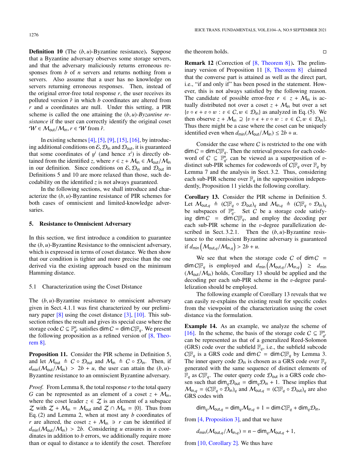**Definition 10** (The  $(b, u)$ -Byzantine resistance). Suppose that a Byzantine adversary observes some storage servers, and that the adversary maliciously returns erroneous responses from *b* of *n* servers and returns nothing from *u* servers. Also assume that a user has no knowledge on servers returning erroneous responses. Then, instead of the original error-free total response  $r$ , the user receives its polluted version  $\hat{r}$  in which  $b$  coordinates are altered from *r* and *u* coordinates are null. Under this setting, a PIR scheme is called the one attaining the (*b*, *<sup>u</sup>*)*-Byzantine resistance* if the user can correctly identify the original coset  $W \in \mathcal{M}_{out}/\mathcal{M}_{in}, r \in W$  from  $\hat{r}$ .

In existing schemes  $[4]$ ,  $[5]$ ,  $[9]$ ,  $[15]$ ,  $[16]$ , by introducing additional conditions on  $\mathcal{E}, \mathcal{D}_{\text{in}}$  and  $\mathcal{D}_{\text{out}}$ , it is guaranteed that some coordinates of  $y^i$  (and hence  $x^i$ ) is directly obtained from the identified z where  $r \in z + M_{i,j} \in M_{i,j}/M_{i,j}$ tained from the identified *z*, where  $r \in z + \mathcal{M}_{in} \in \mathcal{M}_{out}/\mathcal{M}_{in}$ in our definition. Since conditions on  $\mathcal{E}, \mathcal{D}_{\text{in}}$  and  $\mathcal{D}_{\text{out}}$  in Definitions 5 and 10 are more relaxed than those, such decodability on the identified *z* is not always guaranteed.

In the following sections, we shall introduce and characterize the (*b*, *<sup>u</sup>*)-Byzantine resistance of PIR schemes for both cases of omniscient and limited-knowledge adversaries.

# 5. Resistance to Omniscient Adversary

In this section, we first introduce a condition to guarantee the (*b*, *<sup>u</sup>*)-Byzantine Resistance to the omniscient adversary, which is expressed in terms of coset distance. We then show that our condition is tighter and more precise than the one derived via the existing approach based on the minimum Hamming distance.

#### 5.1 Characterization using the Coset Distance

The  $(b, u)$ -Byzantine resistance to omniscient adversary given in Sect. 4.1.1 was first characterized by our prelimi-nary paper [\[8\]](#page-10-2) using the coset distance [\[3\],](#page-10-6) [\[10\].](#page-10-7) This subsection refines the result and gives its special case where the storage code  $C \subseteq \mathbb{F}_{q^v}^n$  satisfies dim  $C = \dim C | \mathbb{F}_q$ . We present the following proposition as a refined version of [\[8, Theo](#page-10-2)[rem 8\].](#page-10-2)

Proposition 11. Consider the PIR scheme in Definition 5, and let  $M_{\text{out}} \triangleq C \circ \mathcal{D}_{\text{out}}$  and  $M_{\text{in}} \triangleq C \circ \mathcal{D}_{\text{in}}$ . Then, if  $d_{\text{min}}(\mathcal{M}_{\text{out}}/\mathcal{M}_{\text{in}}) > 2b + u$ , the user can attain the  $(b, u)$ -Byzantine resistance to an omniscient Byzantine adversary.

*Proof.* From Lemma 8, the total response *r* to the total query *G* can be represented as an element of a coset  $z + M_{in}$ , where the coset leader  $z \in \mathcal{Z}$  is an element of a subspace  $\mathcal Z$  with  $\mathcal Z + \mathcal M_{\text{in}} = \mathcal M_{\text{out}}$  and  $\mathcal Z \cap \mathcal M_{\text{in}} = \{0\}$ . Thus from Eq. (2) and Lemma 2, when at most any *b* coordinates of *r* are altered, the coset  $z + M_{in} \ni r$  can be identified if  $d_{\text{min}}(\mathcal{M}_{\text{out}}/\mathcal{M}_{\text{in}}) > 2b$ . Considering *u* erasures in *n* coordinates in addition to *b* errors, we additionally require more than or equal to distance  $u$  to identify the coset. Therefore

the theorem holds.

Remark 12 (Correction of [\[8, Theorem 8\]\)](#page-10-2). The preliminary version of Proposition 11 [\[8, Theorem 8\]](#page-10-2) claimed that the converse part is attained as well as the direct part, i.e., "if and only if" has been posed in the statement. However, this is not always satisfied by the following reason. The candidate of possible error-free  $r \in z + M_{\text{in}}$  is actually distributed not over a coset  $z + M_{in}$  but over a set  ${v \circ \epsilon + v \circ w : v \in C, w \in \mathcal{D}_{\text{in}}\}$  as analyzed in Eq. (5). We then observe  $z + M_{\text{in}} \supseteq \{v \circ \epsilon + v \circ w : v \in C, w \in \mathcal{D}_{\text{in}}\}.$ Thus there might be a case where the coset can be uniquely identified even when  $d_{\text{min}}(\mathcal{M}_{\text{out}}/\mathcal{M}_{\text{in}}) \le 2b + u$ .

Consider the case where  $C$  is restricted to the one with  $\dim C = \dim C \mathbb{F}_q$ . Then the retrieval process for each codeword of  $C \subseteq \mathbb{F}_q^n$  can be viewed as a superposition of v-<br>distinct sub-PIR schemes for codewords of  $C \mathbb{F}$  over  $\mathbb{F}$  by distinct sub-PIR schemes for codewords of  $C|F_q$  over  $F_q$  by Lemma 7 and the analysis in Sect. 3.2. Thus, considering each sub-PIR scheme over  $\mathbb{F}_q$  in the superposition independently, Proposition 11 yields the following corollary.

Corollary 13. Consider the PIR scheme in Definition 5. Let  $M_{\text{out},q} \triangleq (C|\mathbb{F}_q \circ \mathcal{D}_{\text{out}})_q$  and  $M_{\text{in},q} \triangleq (C|\mathbb{F}_q \circ \mathcal{D}_{\text{in}})_q$ be subspaces of  $\mathbb{F}_q^n$ . Set C be a storage code satisfying  $\dim C = \dim C \mathbb{F}_q$ , and employ the decoding per each sub-PIR scheme in the v-degree parallelization described in Sect. 3.2.1. Then the (*b*, *<sup>u</sup>*)-Byzantine resistance to the omniscient Byzantine adversary is guaranteed if  $d_{\text{min}}\left(\mathcal{M}_{\text{out},q}/\mathcal{M}_{\text{in},q}\right) > 2b + u$ .

We see that when the storage code C of  $\dim C$  =  $dim C[F_q]$  is employed and  $d_{min}(M_{out,q}/M_{in,q}) \geq d_{min}$ <br>  $(M_{out}M_{out})$  holds Corollary 13 should be applied and the  $(M_{\text{out}}/M_{\text{in}})$  holds, Corollary 13 should be applied and the decoding per each sub-PIR scheme in the v-degree parallelization should be employed.

The following example of Corollary 13 reveals that we can easily re-explains the existing result for specific codes from the viewpoint of the characterization using the coset distance via the formulation.

Example 14. As an example, we analyze the scheme of [\[16\].](#page-11-2) In the scheme, the basis of the storage code  $C \subseteq \mathbb{F}_q^n$ can be represented as that of a generalized Reed-Solomon (GRS) code over the subfield  $\mathbb{F}_q$ , i.e., the subfield subcode  $C|\mathbb{F}_q$  is a GRS code and dim  $C = \dim C|\mathbb{F}_q$  by Lemma 3. The inner query code  $\mathcal{D}_{\text{in}}$  is chosen as a GRS code over  $\mathbb{F}_q$ generated with the same sequence of distinct elements of  $\mathbb{F}_q$  as  $C|\mathbb{F}_q$ . The outer query code  $\mathcal{D}_{\text{out}}$  is a GRS code chosen such that  $\dim_q \mathcal{D}_{\text{out}} = \dim_q \mathcal{D}_{\text{in}} + 1$ . These implies that  $M_{\text{in},q} = (C|\mathbb{F}_q \circ \mathcal{D}_{\text{in}})_q$  and  $M_{\text{out},q} = (C|\mathbb{F}_q \circ \mathcal{D}_{\text{out}})_q$  are also GRS codes with

$$
\dim_q \mathcal{M}_{\text{out},q} = \dim_q \mathcal{M}_{\text{in},q} + 1 = \dim C[\mathbb{F}_q + \dim_q \mathcal{D}_{\text{in}},
$$

from [\[4, Proposition 3\],](#page-10-1) and that we have

 $d_{\text{min}}(\mathcal{M}_{\text{out},q}/\mathcal{M}_{\text{in},q}) = n - \text{dim}_q \mathcal{M}_{\text{out},q} + 1$ 

from [\[10, Corollary 2\].](#page-10-7) We thus have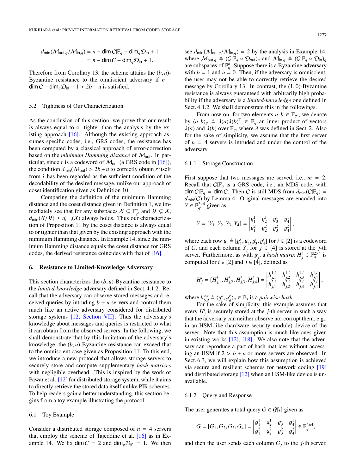$$
d_{\min}(\mathcal{M}_{\text{out},q}/\mathcal{M}_{\text{in},q}) = n - \dim C|\mathbb{F}_q - \dim_q \mathcal{D}_{\text{in}} + 1
$$

$$
= n - \dim C - \dim_q \mathcal{D}_{\text{in}} + 1.
$$

Therefore from Corollary 13, the scheme attains the  $(b, u)$ -Byzantine resistance to the omniscient adversary if *n* −  $\dim C - \dim_q \mathcal{D}_{\text{in}} - 1 > 2b + u$  is satisfied.

# 5.2 Tightness of Our Characterization

As the conclusion of this section, we prove that our result is always equal to or tighter than the analysis by the existing approach [\[16\].](#page-11-2) Although the existing approach assumes specific codes, i.e., GRS codes, the resistance has been computed by a classical approach of error-correction based on the *minimum Hamming distance* of Mout. In particular, since r is a codeword of  $M_{\text{out}}$  (a GRS code in [\[16\]\)](#page-11-2), the condition  $d_{\text{min}}(\mathcal{M}_{\text{out}}) > 2b + u$  to correctly obtain *r* itself from  $\hat{r}$  has been regarded as the sufficient condition of the decodability of the desired message, unlike our approach of coset identification given as Definition 10.

Comparing the definition of the minimum Hamming distance and the coset distance given in Definition 1, we immediately see that for any subspaces  $X \subseteq \mathbb{F}_{q^v}^n$  and  $\mathcal{Y} \subsetneq X$ ,  $d_{\text{min}}(\mathcal{X}/\mathcal{Y}) \geq d_{\text{min}}(\mathcal{X})$  always holds. Thus our characterization of Proposition 11 by the coset distance is always equal to or tighter than that given by the existing approach with the minimum Hamming distance. In Example 14, since the minimum Hamming distance equals the coset distance for GRS codes, the derived resistance coincides with that of [\[16\].](#page-11-2)

#### 6. Resistance to Limited-Knowledge Adversary

This section characterizes the (*b*, *<sup>u</sup>*)-Byzantine resistance to the *limited-knowledge* adversary defined in Sect. 4.1.2. Recall that the adversary can observe stored messages and received queries by intruding  $b + u$  servers and control them much like an active adversary considered for distributed storage systems [\[12, Section VII\]](#page-11-4) . Thus the adversary's knowledge about messages and queries is restricted to what it can obtain from the observed servers. In the following, we shall demonstrate that by this limitation of the adversary's knowledge, the (*b*, *<sup>u</sup>*)-Byzantine resistance can exceed that to the omniscient case given as Proposition 11. To this end, we introduce a new protocol that allows storage servers to securely store and compute supplementary *hash matrices* with negligible overhead. This is inspired by the work of Pawar et al. [\[12\]](#page-11-4) for distributed storage system, while it aims to directly retrieve the stored data itself unlike PIR schemes. To help readers gain a better understanding, this section begins from a toy example illustrating the protocol.

#### 6.1 Toy Example

Consider a distributed storage composed of  $n = 4$  servers that employ the scheme of Tajeddine et al. [\[16\]](#page-11-2) as in Example 14. We fix dim  $C = 2$  and dim<sub>q</sub> $\mathcal{D}_{in} = 1$ . We then

see  $d_{\text{min}}(\mathcal{M}_{\text{out},q}/\mathcal{M}_{\text{in},q}) = 2$  by the analysis in Example 14, where  $M_{\text{out},q} \triangleq (C|\mathbb{F}_q \circ \mathcal{D}_{\text{out}})_q$  and  $M_{\text{in},q} \triangleq (C|\mathbb{F}_q \circ \mathcal{D}_{\text{in}})_q$ are subspaces of  $\mathbb{F}_q^n$ . Suppose there is a Byzantine adversary with  $b = 1$  and  $u = 0$ . Then, if the adversary is omniscient, the user may not be able to correctly retrieve the desired message by Corollary 13. In contrast, the (1, 0)-Byzantine resistance is always guaranteed with arbitrarily high probability if the adversary is a *limited-knowledge* one defined in Sect. 4.1.2. We shall demonstrate this in the followings.

From now on, for two elements  $a, b \in \mathbb{F}_{q^p}$ , we denote by  $\langle a, b \rangle_q \triangleq \lambda(a) \lambda(b)^T \in \mathbb{F}_q$  an inner product of vectors  $\lambda(a)$  and  $\lambda(b)$  over  $\mathbb{F}_q$  where  $\lambda$  was defined in Sect 2. Also  $\lambda(a)$  and  $\lambda(b)$  over  $\mathbb{F}_a$ , where  $\lambda$  was defined in Sect. 2. Also for the sake of simplicity, we assume that the first server of  $n = 4$  servers is intruded and under the control of the adversary.

#### 6.1.1 Storage Construction

First suppose that two messages are served, i.e.,  $m = 2$ . Recall that  $C|F_q$  is a GRS code, i.e., an MDS code, with  $\dim C|\mathbb{F}_q = \dim C$ . Then C is still MDS from  $d_{\min}(C|\mathbb{F}_q) =$  $d_{\text{min}}(C)$  by Lemma 4. Original messages are encoded into  $Y \in \mathbb{F}_{q^v}^{2\times 4}$  given as

$$
Y = [Y_1, Y_2, Y_3, Y_4] = \begin{bmatrix} y_1^1 & y_2^1 & y_3^1 & y_4^1 \ y_1^2 & y_2^2 & y_3^2 & y_4^2 \end{bmatrix},
$$

where each row  $y^i \triangleq [y^i_1, y^i_2, y^i_3, y^i_4]$  for  $i \in [2]$  is a codeword<br>of *C*, and each column *Y*<sub>i</sub> for  $i \in [4]$  is stored at the *i*-th of *C*, and each column  $Y_j$  for  $j \in [4]$  is stored at the *j*-th server. Furthermore, as with  $y^i_j$ , a *hash matrix*  $H^i_j \in \mathbb{F}_q^{2 \times 4}$  is computed for  $i \in [2]$  and  $i \in [4]$  defined as computed for  $i \in [2]$  and  $j \in [4]$ , defined as

$$
H^i_j = [H^i_{j,1}, H^i_{j,2}, H^i_{j,3}, H^i_{j,4}] = \begin{bmatrix} h^{1,i}_{j,1} & h^{1,i}_{j,2} & h^{1,i}_{j,3} & h^{1,i}_{j,4} \\ h^{2,i}_{j,1} & h^{2,i}_{j,2} & h^{2,i}_{j,3} & h^{2,i}_{j,4} \end{bmatrix},
$$

where  $h_{b,d}^{a,c} \triangleq \langle y_b^a, y_a^c \rangle_q \in \mathbb{F}_q$  is a *pairwise hash.*<br>For the sake of simplicity, this example

 $\mathcal{L}^{h}$ ,  $\mathcal{L}^{h}$ ,  $\mathcal{L}^{g}$ ,  $\mathcal{L}^{g}$  and  $\mathcal{L}^{g}$  as a pairwise *nash*.<br>For the sake of simplicity, this example assumes that every  $H^i_j$  is securely stored at the *j*-th server in such a way that the adversary can neither observe nor corrupt them, e.g., in an HSM-like (hardware security module) device of the server. Note that this assumption is much like ones given in existing works [\[12\],](#page-11-4) [\[18\].](#page-11-7) We also note that the adversary can reproduce a part of hash matrices without accessing an HSM if  $2 > b + u$  or more servers are observed. In Sect. 6.3, we will explain how this assumption is achieved via secure and resilient schemes for network coding [\[19\]](#page-11-3) and distributed storage [\[12\]](#page-11-4) when an HSM-like device is unavailable.

# 6.1.2 Query and Response

The user generates a total query  $G \in \mathcal{G}[i]$  given as

$$
G = [G_1, G_2, G_3, G_4] = \begin{bmatrix} g_1^1 & g_2^1 & g_3^1 & g_4^1 \\ g_1^2 & g_2^2 & g_3^2 & g_4^2 \end{bmatrix} \in \mathbb{F}_q^{2 \times 4},
$$

and then the user sends each column  $G_j$  to the *j*-th server.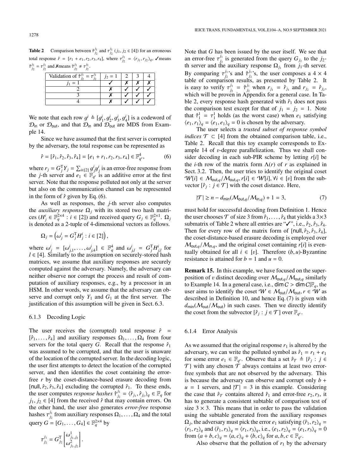**Table 2** Comparison between  $\hat{\tau}_{j_2}^{j_1}$  and  $\tau_{j_2}^{j_1}$  (*j*<sub>1</sub>, *j*<sub>2</sub> ∈ [4]) for an erroneous total response  $\hat{r} = [r_1 + e_1, r_2, r_3, r_4]$ , where  $\tau_{j_2}^{j_1} = \langle r_{j_1}, r_{j_2} \rangle_q$ ,  $\checkmark$  means  $\hat{\tau}_{j_2}^{j_1} = \tau_{j_2}^{j_1}$  and **X**means  $\hat{\tau}_{j_2}^{j_1} \neq \tau_{j_2}^{j_1}$ .

| Validation of $\hat{\tau}^{j_1} = \tau$ |  |  |
|-----------------------------------------|--|--|
|                                         |  |  |
|                                         |  |  |
|                                         |  |  |
|                                         |  |  |

We note that each row  $g^i \triangleq [g_1^i, g_2^i, g_3^i, g_4^i]$  is a codeword of  $\Omega_{\text{tot}}$  and that  $\Omega_{\text{tot}}$  and  $\Omega_{\text{tot}}$  are MDS from Example.  $\mathcal{D}_{\text{in}}$  or  $\mathcal{D}_{\text{out}}$ , and that  $\mathcal{D}_{\text{in}}$  and  $\mathcal{D}_{\text{out}}$  are MDS from Example 14.

Since we have assumed that the first server is corrupted by the adversary, the total response can be represented as

$$
\hat{r} = [\hat{r}_1, \hat{r}_2, \hat{r}_3, \hat{r}_4] = [e_1 + r_1, r_2, r_3, r_4] \in \mathbb{F}_{q^v}^4,
$$
(6)

where  $r_j = G_j^T Y_j = \sum_{i \in [2]} g^i_j y^i_j$  is an error-free response from<br>the *i*-th server and  $e_j \in \mathbb{F}_q$  is an additive error at the first the *j*-th server and  $e_1 \in \mathbb{F}_{q^v}$  is an additive error at the first server. Note that the response polluted not only at the server but also on the communication channel can be represented in the form of  $\hat{r}$  given by Eq. (6).

As well as responses, the *j*-th server also computes the *auxiliary response*  $\Omega$ <sub>*j*</sub> with its stored two hash matrices  $(H_j^i \in \mathbb{F}_q^{2 \times 4} : i \in [2])$  and received query  $G_j \in \mathbb{F}_q^{2 \times 1}$ .  $\Omega_j$ is denoted as a 2-tuple of 4-dimensional vectors as follows.

$$
\Omega_j=\left(\omega_j^i=G_j^{\mathrm{T}}H_j^i: i\in [2]\right),
$$

where  $\omega_j^i = [\omega_{j,1}^i, \dots, \omega_{j,4}^i] \in \mathbb{F}_q^4$  and  $\omega_{j,l}^i = G_j^T H_{j,l}^i$  for  $l \in [4]$ . Similarly to the assumption on securely-stored hash  $l \in [4]$ . Similarly to the assumption on securely-stored hash matrices, we assume that auxiliary responses are securely computed against the adversary. Namely, the adversary can neither observe nor corrupt the process and result of computation of auxiliary responses, e.g., by a processor in an HSM. In other words, we assume that the adversary can observe and corrupt only  $Y_1$  and  $G_1$  at the first server. The justification of this assumption will be given in Sect. 6.3.

#### 6.1.3 Decoding Logic

The user receives the (corrupted) total response  $\hat{r}$  =  $[\hat{r}_1, \ldots, \hat{r}_4]$  and auxiliary responses  $\Omega_1, \ldots, \Omega_4$  from four servers for the total query *G*. Recall that the response  $\hat{r}_1$ was assumed to be corrupted, and that the user is unaware of the location of the corrupted server. In the decoding logic, the user first attempts to detect the location of the corrupted server, and then identifies the coset containing the errorfree *r* by the coset-distance-based erasure decoding from [null,  $\hat{r}_2$ ,  $\hat{r}_3$ ,  $\hat{r}_4$ ] excluding the corrupted  $\hat{r}_1$ . To these ends, the user computes *response hashes*  $\hat{\tau}_{j_2}^{j_1}$ <br>*i*<sub>12</sub>  $\in$  [41 from the received  $\hat{r}$  that m  $j_2^{j_1} = \langle \hat{r}_{j_1}, \hat{r}_{j_2} \rangle_q \in \mathbb{F}_q$  for  $j_2$ <br>nay contain errors. On *j*<sub>1</sub>, *j*<sub>2</sub> ∈ [4] from the received  $\hat{r}$  that may contain errors. On the other hand, the user also generates *error-free* response hashes  $\tau_{j_2}^{j_1}$ *j*<sub>2</sub> from auxiliary responses  $\Omega_1, \ldots, \Omega_4$  and the total query  $G = [G_1, ..., G_4] \in \mathbb{F}_q^{2 \times 4}$  by

$$
\tau_{j_2}^{j_1} = G_{j_2}^{\mathrm{T}} \begin{bmatrix} \omega_{j_1,j_2}^1 \\ \omega_{j_1,j_2}^2 \end{bmatrix}.
$$

Note that *G* has been issued by the user itself. We see that an error-free  $\tau_{j_2}^{j_1}$ <br>th server and th  $j_2$  is generated from the query  $G_{j_2}$  to the  $j_2$ th server and the auxiliary response  $\Omega_{j_1}$  from  $j_1$ -th server. By comparing  $\tau_{j_2}^{j_1}$ 's and  $\hat{\tau}_{j_2}^{j_1}$ 's, the user composes a 4 × 4  $j_2$ <sup>2</sup> comparing  $i_j$ <sub>2</sub> s and  $i_j$ <sub>2</sub> s, the user composes a  $\rightarrow \rightarrow \rightarrow$  and table of comparison results, as presented by Table 2. It is easy to verify  $\tau_{j_2}^{j_1}$ <br>which will be prover  $j_1$  =  $\hat{\tau}^{j_1}_{j_2}$ <br>  $\hat{\tau}^{j_1}_{j_2}$  in Ap  $\hat{r}_{j_1}$  when  $r_{j_1} = \hat{r}_{j_1}$  and  $r_{j_2} = \hat{r}_{j_2}$ , which will be proven in Appendix for a general case. In Table 2, every response hash generated with  $\hat{r}_1$  does not pass the comparison test except for that of  $j_1 = j_2 = 1$ . Note that  $\hat{\tau}_1^1 = \tau_1^1$  holds (as the worst case) when  $e_1$  satisfying<br> $(e_1, e_2) = (e_1, e_2) = 0$  is chosen by the adversary  $\langle e_1, r_1 \rangle_q = \langle e_1, e_1 \rangle_q = 0$  is chosen by the adversary.

The user selects a *trusted subset of response symbol indices*  $\mathcal{T} \subset [4]$  from the obtained comparison table, i.e., Table 2. Recall that this toy example corresponds to Example 14 of v-degree parallelization. Thus we shall consider decoding in each sub-PIR scheme by letting *r*[*i*] be the *i*-th row of the matrix form  $\Lambda(r)$  of *r* as explained in Sect. 3.2. Then, the user tries to identify the original coset  $W[i] \in M_{\text{out},q}/M_{\text{out},q}, r[i] \in W[i], \forall i \in [v]$  from the subvector  $[\hat{r}_j : j \in \mathcal{T}]$  with the coset distance. Here,

$$
|\mathcal{T}| \ge n - d_{\min}(\mathcal{M}_{\text{out},q}/\mathcal{M}_{\text{in},q}) + 1 = 3,\tag{7}
$$

must hold for successful decoding from Definition 1. Hence the user chooses  $\mathcal T$  of size 3 from  $\hat r_1, \ldots, \hat r_4$  that yields a 3×3 submatrix of Table 2 where all entries are " $\checkmark$ ", i.e.,  $\hat{r}_2$ ,  $\hat{r}_3$ ,  $\hat{r}_4$ . Then for every row of the matrix form of [null,  $\hat{r}_2$ ,  $\hat{r}_3$ ,  $\hat{r}_4$ ], the coset-distance-based erasure decoding is employed over  $M_{\text{out},q}/M_{\text{in},q}$ , and the original coset containing  $r[i]$  is eventually obtained for all  $i \in [v]$ . Therefore  $(b, u)$ -Byzantine resistance is attained for  $b = 1$  and  $u = 0$ .

Remark 15. In this example, we have focused on the superposition of v distinct decoding over  $M_{\text{out},q}/M_{\text{out},q}$  similarly to Example 14. In a general case, i.e.,  $\dim C > \dim C \mathbb{F}_q$ , the user aims to identify the coset  $W \in \mathcal{M}_{\text{out}}/\mathcal{M}_{\text{out}}$ ,  $r \in W$  as described in Definition 10, and hence Eq. (7) is given with  $d_{\text{min}}(\mathcal{M}_{\text{out}}/\mathcal{M}_{\text{out}})$  in such cases. Then we directly identify the coset from the subvector  $[\hat{r}_j : j \in \mathcal{T}]$  over  $\mathbb{F}_{q^v}$ .

# 6.1.4 Error Analysis

As we assumed that the original response  $r_1$  is altered by the adversary, we can write the polluted symbol as  $\hat{r}_1 = r_1 + e_1$ for some error  $e_1 \in \mathbb{F}_{q^v}$ . Observe that a set  $\hat{r}_{\mathcal{T}} \triangleq {\hat{r}_j : j \in \mathbb{F}_{q^v}}$  $\mathcal{T}$ } with any chosen  $\mathcal{T}$  always contains at least two errorfree symbols that are not observed by the adversary. This is because the adversary can observe and corrupt only  $b +$  $u = 1$  servers, and  $|\mathcal{T}| = 3$  in this example. Considering the case that  $\hat{r}_{\mathcal{T}}$  contains altered  $\hat{r}_1$  and error-free  $r_2, r_3$ , it has to generate a consistent subtable of comparison test of size  $3 \times 3$ . This means that in order to pass the validation using the subtable generated from the auxiliary responses  $\Omega_j$ , the adversary must pick the error *e*<sub>1</sub> satisfying  $\langle \hat{r}_1, r_2 \rangle_q = \langle r_1, r_2 \rangle$  and  $\langle \hat{r}_1, r_2 \rangle_q = \langle r_1, r_2 \rangle$  i.e.  $\langle e_1, r_2 \rangle_q = \langle e_1, r_2 \rangle_q = 0$  $\langle r_1, r_2 \rangle_q$  and  $\langle \hat{r}_1, r_3 \rangle_q = \langle r_1, r_3 \rangle_q$ , i.e.,  $\langle e_1, r_2 \rangle_q = \langle e_1, r_3 \rangle_q = 0$ from  $\langle a+b, c \rangle_q = \langle a, c \rangle_q + \langle b, c \rangle_q$  for  $a, b, c \in \mathbb{F}_{q^p}$ .<br>Also observe that the pollution of  $r$ , by the

Also observe that the pollution of  $r_1$  by the adversary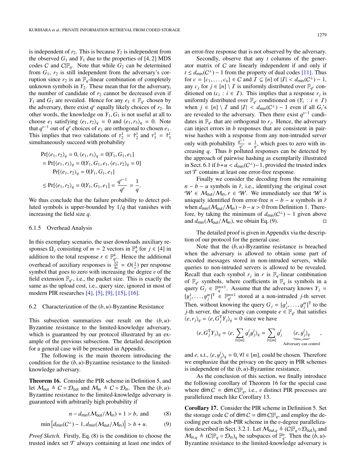is independent of  $r_2$ . This is because  $Y_2$  is independent from the observed  $G_1$  and  $Y_1$  due to the properties of [4, 2] MDS codes C and  $C/F_q$ . Note that while  $G_2$  can be determined from  $G_1$ ,  $r_2$  is still independent from the adversary's corruption since  $r_2$  is an  $\mathbb{F}_q$ -linear combination of completely unknown symbols in  $Y_2$ . These mean that for the adversary, the number of candidate of  $r_2$  cannot be decreased even if *Y*<sub>1</sub> and *G*<sub>1</sub> are revealed. Hence for any  $e_1 \in \mathbb{F}_{q^v}$  chosen by the adversary, there exist  $q^v$  equally likely choices of  $r_2$ . In other words, the knowledge on  $Y_1, G_1$  is not useful at all to choose  $e_1$  satisfying  $\langle e_1, r_2 \rangle_a = 0$  and  $\langle e_1, r_3 \rangle_a = 0$ . Note that  $q^{v-1}$  out of  $q^v$  choices of  $e_1$  are orthogonal to chosen  $e_1$ . This implies that two validations of  $\tau_2^1 = \hat{\tau}_2^1$  and  $\tau_3^1 = \hat{\tau}_3^1$ <br>simultaneously succeed with probability simultaneously succeed with probability

$$
\Pr[\langle e_1, r_2 \rangle_q = 0, \langle e_1, r_3 \rangle_q = 0 | Y_1, G_1, e_1]
$$
  
= 
$$
\Pr[\langle e_1, r_3 \rangle_q = 0 | Y_1, G_1, e_1, \langle e_1, r_2 \rangle_q = 0]
$$
  

$$
\Pr[\langle e_1, r_2 \rangle_q = 0 | Y_1, G_1, e_1]
$$
  

$$
\leq \Pr[\langle e_1, r_2 \rangle_q = 0 | Y_1, G_1, e_1] = \frac{q^{v-1}}{q^v} = \frac{1}{q}.
$$

We thus conclude that the failure probability to detect polluted symbols is upper-bounded by 1/*<sup>q</sup>* that vanishes with increasing the field size *q*.

#### 6.1.5 Overhead Analysis

In this exemplary scenario, the user downloads auxiliary responses  $\Omega_j$  consisting of  $m = 2$  vectors in  $\mathbb{F}_q^4$  for  $j \in [4]$  in addition to the total response  $r \in \mathbb{F}_{q^p}^4$ . Hence the additional overhead of auxiliary responses is  $\frac{32}{4n} = O(\frac{1}{n})$  per response symbol that goes to zero with increasing the degree v of the field extension  $\mathbb{F}_x$ , i.e. the packet size. This is exactly the field extension  $\mathbb{F}_{q^v}$ , i.e., the packet size. This is exactly the same as the upload cost, i.e., query size, ignored in most of modern PIR researches [\[4\],](#page-10-1) [\[5\],](#page-10-3) [\[9\],](#page-10-8) [\[15\],](#page-11-0) [\[16\].](#page-11-2)

#### 6.2 Characterization of the (*b*, *<sup>u</sup>*)-Byzantine Resistance

This subsection summarizes our result on the (*b*, *<sup>u</sup>*)- Byzantine resistance to the limited-knowledge adversary, which is guaranteed by our protocol illustrated by an example of the previous subsection. The detailed description for a general case will be presented in Appendix.

The following is the main theorem introducing the condition for the  $(b, u)$ -Byzantine resistance to the limitedknowledge adversary.

Theorem 16. Consider the PIR scheme in Definition 5, and let  $M_{\text{out}} \triangleq C \circ \mathcal{D}_{\text{out}}$  and  $M_{\text{in}} \triangleq C \circ \mathcal{D}_{\text{in}}$ . Then the  $(b, u)$ -Byzantine resistance to the limited-knowledge adversary is guaranteed with arbitrarily high probability if

$$
n - d_{\text{min}}(\mathcal{M}_{\text{out}}/\mathcal{M}_{\text{in}}) + 1 > b, \text{ and } (8)
$$

$$
\min\left\{d_{\min}(C^{\perp}) - 1, d_{\min}(\mathcal{M}_{\text{out}}/\mathcal{M}_{\text{in}})\right\} > b + u. \tag{9}
$$

*Proof Sketch.* Firstly, Eq. (8) is the condition to choose the trusted index set  $\mathcal T$  always containing at least one index of an error-free response that is not observed by the adversary.

Secondly, observe that any *t* columns of the generator matrix of C are linearly independent if and only if  $t \le d_{\text{min}}(C^{\perp}) - 1$  from the property of dual codes [\[11\].](#page-10-4) Thus for *c* = [*c*<sub>1</sub>, ..., *c*<sub>*n*</sub>] ∈ *C* and *I* ⊆ [*n*] of  $|I| < d_{min}(C^{\perp}) - 1$ ,<br>any *c* · for  $i \in [n] \setminus I$  is uniformly distributed over  $\mathbb{F}_n$  conany  $c_j$  for  $j \in [n] \setminus I$  is uniformly distributed over  $\mathbb{F}_{q^v}$  conditioned on  $(c_i : i \in I)$ . This implies that a response  $r_j$  is uniformly distributed over  $\mathbb{F}_{q^v}$  conditioned on  $(Y_i : i \in I)$ when  $j \in [n] \setminus I$  and  $|I| < d_{min}(C^{\perp}) - 1$  even if all  $G_i$ 's are revealed to the adversary. Then there exist  $a^{p-1}$  candiare revealed to the adversary. Then there exist  $q^{v-1}$  candidates in  $\mathbb{F}_{q^v}$  that are orthogonal to  $r_j$ . Hence, the adversary can inject errors in *b* responses that are consistent in pairwise hashes with a response from any non-intruded server only with probability  $\frac{q^{p-1}}{q} = \frac{1}{q}$ , which goes to zero with increasing *q*. Thus *b* polluted responses can be detected by the approach of pairwise hashing as exemplarily illustrated in Sect. 6.1 if *b*+*u* < *d*<sub>min</sub>( $C^{\perp}$ )−1, provided the trusted index set  $T$  contains at least one error-free response set  $T$  contains at least one error-free response.

Finally we consider the decoding from the remaining  $n - b - u$  symbols in  $\hat{r}$ , i.e., identifying the original coset  $W \in M_{\text{out}}/M_{\text{in}}$ ,  $r \in W$ . We immediately see that W is uniquely identified from error-free  $n - b - u$  symbols in  $\hat{r}$ when  $d_{\text{min}}(\mathcal{M}_{\text{out}}/\mathcal{M}_{\text{in}}) - b - u > 0$  from Definition 1. Therefore, by taking the minimum of  $d_{\text{min}}(C^{\perp}) - 1$  given above and  $d_{\text{min}}(\mathcal{M}_{\text{out}}/\mathcal{M}_{\text{in}})$ , we obtain Eq. (9).

The detailed proof is given in Appendix via the description of our protocol for the general case.

Note that the (*b*, *<sup>u</sup>*)-Byzantine resistance is breached when the adversary is allowed to obtain some part of encoded messages stored in non-intruded servers, while queries to non-intruded servers is allowed to be revealed. Recall that each symbol  $r_j$  in  $r$  is  $\mathbb{F}_q$ -linear combination of  $\mathbb{F}_{q^v}$  symbols, where coefficients in  $\mathbb{F}_q$  is symbols in a query  $G_j \in \mathbb{F}_q^{m \times 1}$ . Assume that the adversary knows  $Y_j =$  $[y_j^1, \ldots, y_j^m]^T \in \mathbb{F}_q^{m \times 1}$  stored at a non-intruded *j*-th server. Then, without knowing the query  $G_j = [g_j^1, \dots, g_j^m]^T$  to the *i*-th server the adversary can compute  $e \in \mathbb{R}$ , that satisfies *j*-th server, the adversary can compute  $e \in \mathbb{F}_{q^p}$  that satisfies  $\langle e, r_j \rangle_q = \langle e, G_j^T Y_j \rangle_q = 0$  since we have

$$
\langle e, G_j^{\mathrm{T}} Y_j \rangle_q = \langle e, \sum_{l \in [m]} g_j^l y_j^l \rangle_q = \sum_{l \in [m]} g_j^l \underbrace{\langle e, y_j^l \rangle_q}_{\text{Adversary can control}},
$$

and *e*, s.t.,  $\langle e, y_j^l \rangle_q = 0$ ,  $\forall l \in [m]$ , could be chosen. Therefore we emphasize that the privacy on the query in PIR schemes is independent of the (*b*, *<sup>u</sup>*)-Byzantine resistance.

As the conclusion of this section, we finally introduce the following corollary of Theorem 16 for the special case where  $\dim C = \dim C \mathbb{F}_q$ , i.e., v distinct PIR processes are parallelized much like Corollary 13.

Corollary 17. Consider the PIR scheme in Definition 5. Set the storage code C of dim  $C = \dim C \mathbb{F}_q$ , and employ the decoding per each sub-PIR scheme in the v-degree parallelization described in Sect. 3.2.1. Let  $M_{\text{out},q} \triangleq (C|\mathbb{F}_q \circ \mathcal{D}_{\text{out}})_q$  and  $M_{\text{in},q} \triangleq (C|\mathbb{F}_q \circ \mathcal{D}_{\text{in}})_q$  be subspaces of  $\mathbb{F}_q^n$ . Then the  $(b, u)$ -<br>Byzantine resistance to the limited-knowledge adversary is Byzantine resistance to the limited-knowledge adversary is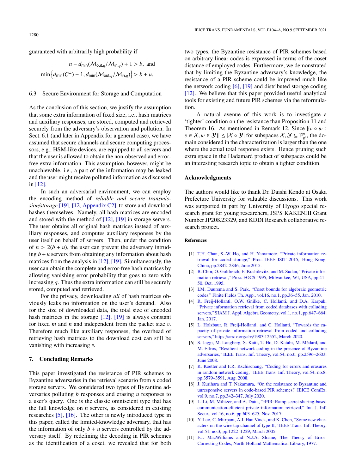guaranteed with arbitrarily high probability if

$$
n - d_{\min}(\mathcal{M}_{\text{out},q}/\mathcal{M}_{\text{in},q}) + 1 > b, \text{ and}
$$
  

$$
\min\left\{d_{\min}(C^{\perp}) - 1, d_{\min}(\mathcal{M}_{\text{out},q}/\mathcal{M}_{\text{in},q})\right\} > b + u.
$$

#### 6.3 Secure Environment for Storage and Computation

As the conclusion of this section, we justify the assumption that some extra information of fixed size, i.e., hash matrices and auxiliary responses, are stored, computed and retrieved securely from the adversary's observation and pollution. In Sect. 6.1 (and later in Appendix for a general case), we have assumed that secure channels and secure computing processors, e.g., HSM-like devices, are equipped to all servers and that the user is allowed to obtain the non-observed and errorfree extra information. This assumption, however, might be unachievable, i.e., a part of the information may be leaked and the user might receive polluted information as discussed in [\[12\].](#page-11-4)

In such an adversarial environment, we can employ the encoding method of *reliable and secure transmission*/*storage* [\[19\],](#page-11-3) [\[12, Appendix C2\]](#page-11-4) to store and download hashes themselves. Namely, all hash matrices are encoded and stored with the method of [\[12\],](#page-11-4) [\[19\]](#page-11-3) in storage servers. The user obtains all original hash matrices instead of auxiliary responses, and computes auxiliary responses by the user itself on behalf of servers. Then, under the condition of  $n > 2(b + u)$ , the user can prevent the adversary intruding  $b + u$  servers from obtaining any information about hash matrices from the analysis in [\[12\],](#page-11-4) [\[19\].](#page-11-3) Simultaneously, the user can obtain the complete and error-free hash matrices by allowing vanishing error probability that goes to zero with increasing *q*. Thus the extra information can still be securely stored, computed and retrieved.

For the privacy, downloading *all* of hash matrices obviously leaks no information on the user's demand. Also for the size of downloaded data, the total size of encoded hash matrices in the storage  $[12]$ ,  $[19]$  is always constant for fixed *<sup>m</sup>* and *<sup>n</sup>* and independent from the packet size v. Therefore much like auxiliary responses, the overhead of retrieving hash matrices to the download cost can still be vanishing with increasing  $v$ .

# 7. Concluding Remarks

This paper investigated the resistance of PIR schemes to Byzantine adversaries in the retrieval scenario from *n* coded storage servers. We considered two types of Byzantine adversaries polluting *b* responses and erasing *u* responses to a user's query. One is the classic omniscient type that has the full knowledge on *n* servers, as considered in existing researches [\[5\],](#page-10-3) [\[16\].](#page-11-2) The other is newly introduced type in this paper, called the limited-knowledge adversary, that has the information of only  $b + u$  servers controlled by the adversary itself. By redefining the decoding in PIR schemes as the identification of a coset, we revealed that for both two types, the Byzantine resistance of PIR schemes based on arbitrary linear codes is expressed in terms of the coset distance of employed codes. Furthermore, we demonstrated that by limiting the Byzantine adversary's knowledge, the resistance of a PIR scheme could be improved much like the network coding  $[6]$ ,  $[19]$  and distributed storage coding [\[12\].](#page-11-4) We believe that this paper provided useful analytical tools for existing and future PIR schemes via the reformulation.

A natural avenue of this work is to investigate a 'tighter' condition on the resistance than Proposition 11 and Theorem 16. As mentioned in Remark 12, Since  $\{v \circ w :$  $v \in X, w \in Y$   $\leq |\mathcal{X} \circ \mathcal{Y}|$  for subspaces  $X, \mathcal{Y} \subseteq \mathbb{F}_{q}^n$ , the domain considered in the characterization is larger than the one main considered in the characterization is larger than the one where the actual total response exists. Hence pruning such extra space in the Hadamard product of subspaces could be an interesting research topic to obtain a tighter condition.

# Acknowledgments

The authors would like to thank Dr. Daishi Kondo at Osaka Prefecture University for valuable discussions. This work was supported in part by University of Hyogo special research grant for young researchers, JSPS KAKENHI Grant Number JP20K23329, and KDDI Research collaborative research project.

## References

- <span id="page-10-9"></span>[1] [T.H. Chan, S.-W. Ho, and H. Yamamoto, "Private information re](http://dx.doi.org/10.1109/isit.2015.7282975)[trieval for coded storage," Proc. IEEE ISIT 2015, Hong Kong,](http://dx.doi.org/10.1109/isit.2015.7282975) [China, pp.2842–2846, June 2015.](http://dx.doi.org/10.1109/isit.2015.7282975)
- <span id="page-10-0"></span>[2] [B. Chor, O. Goldreich, E. Kushilevitz, and M. Sudan, "Private infor](http://dx.doi.org/10.1109/sfcs.1995.492461)[mation retrieval," Proc. FOCS 1995, Milwaukee, WI, USA, pp.41–](http://dx.doi.org/10.1109/sfcs.1995.492461) [50, Oct. 1995.](http://dx.doi.org/10.1109/sfcs.1995.492461)
- <span id="page-10-6"></span>[3] [I.M. Duursma and S. Park, "Coset bounds for algebraic geometric](http://dx.doi.org/10.1016/j.ffa.2009.11.006) [codes," Finite Fields Th. App., vol.16, no.1, pp.36–55, Jan. 2010.](http://dx.doi.org/10.1016/j.ffa.2009.11.006)
- <span id="page-10-1"></span>[4] [R. Freij-Hollanti, O.W. Gnilke, C. Hollanti, and D.A. Karpuk,](http://dx.doi.org/10.1137/16m1102562) ["Private information retrieval from coded databases with colluding](http://dx.doi.org/10.1137/16m1102562) servers," SIAM J. Appl. Algebra Geometry, vol.1, no.1, pp.647-664, [Jan. 2017.](http://dx.doi.org/10.1137/16m1102562)
- <span id="page-10-3"></span>[5] [L. Holzbaur, R. Freij-Hollanti, and C. Hollanti, "Towards the ca](https://arxiv.org/abs/1903.12552)[pacity of private information retrieval from coded and colluding](https://arxiv.org/abs/1903.12552) servers," https://arxiv.org/abs/[1903.12552, March 2020.](https://arxiv.org/abs/1903.12552)
- <span id="page-10-5"></span>[6] [S. Jaggi, M. Langberg, S. Katti, T. Ho, D. Katabi, M. Medard, and](http://dx.doi.org/10.1109/tit.2008.921711) ´ M. Eff[ros, "Resilient network coding in the presence of Byzantine](http://dx.doi.org/10.1109/tit.2008.921711) [adversaries," IEEE Trans. Inf. Theory, vol.54, no.6, pp.2596–2603,](http://dx.doi.org/10.1109/tit.2008.921711) [June 2008.](http://dx.doi.org/10.1109/tit.2008.921711)
- <span id="page-10-10"></span>[7] [R. Koetter and F.R. Kschischang, "Coding for errors and erasures](http://dx.doi.org/10.1109/tit.2008.926449) [in random network coding," IEEE Trans. Inf. Theory, vol.54, no.8,](http://dx.doi.org/10.1109/tit.2008.926449) [pp.3579–3591, Aug. 2008.](http://dx.doi.org/10.1109/tit.2008.926449)
- <span id="page-10-2"></span>[8] [J. Kurihara and T. Nakamura, "On the resistance to Byzantine and](http://dx.doi.org/10.1587/comex.2020xbl0055) [unresponsive servers in code-based PIR schemes," IEICE ComEx,](http://dx.doi.org/10.1587/comex.2020xbl0055) [vol.9, no.7, pp.342–347, July 2020.](http://dx.doi.org/10.1587/comex.2020xbl0055)
- <span id="page-10-8"></span>[9] [L. Li, M. Militzer, and A. Datta, "rPIR: Ramp secret sharing-based](http://dx.doi.org/10.1007/s10207-016-0347-8) communication-effi[cient private information retrieval," Int. J. Inf.](http://dx.doi.org/10.1007/s10207-016-0347-8) [Secur., vol.16, no.6, pp.603–625, Nov. 2017.](http://dx.doi.org/10.1007/s10207-016-0347-8)
- <span id="page-10-7"></span>[10] [Y. Luo, C. Mitrpant, A.J. Han Vinck, and K. Chen, "Some new char](http://dx.doi.org/10.1109/tit.2004.842763)[acters on the wire-tap channel of type II," IEEE Trans. Inf. Theory,](http://dx.doi.org/10.1109/tit.2004.842763) [vol.51, no.3, pp.1222–1229, March 2005.](http://dx.doi.org/10.1109/tit.2004.842763)
- <span id="page-10-4"></span>[11] [F.J. MacWilliams and N.J.A. Sloane, The Theory of Error-](http://dx.doi.org/10.1016/s0924-6509(08)x7030-8)[Correcting Codes, North-Holland Mathematical Library, 1977.](http://dx.doi.org/10.1016/s0924-6509(08)x7030-8)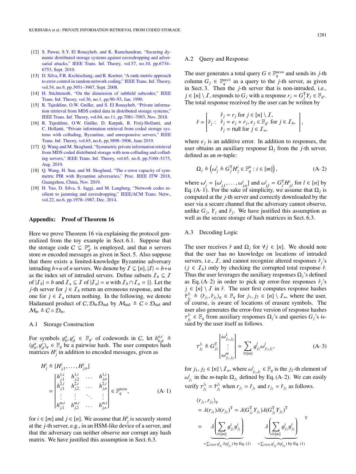- <span id="page-11-4"></span>[12] [S. Pawar, S.Y. El Rouayheb, and K. Ramchandran, "Securing dy](http://dx.doi.org/10.1109/tit.2011.2162191)[namic distributed storage systems against eavesdropping and adver](http://dx.doi.org/10.1109/tit.2011.2162191)[sarial attacks," IEEE Trans. Inf. Theory, vol.57, no.10, pp.6734–](http://dx.doi.org/10.1109/tit.2011.2162191) [6753, Sept. 2010.](http://dx.doi.org/10.1109/tit.2011.2162191)
- <span id="page-11-6"></span>[13] [D. Silva, F.R. Kschischang, and R. Koetter, "A rank-metric approach](http://dx.doi.org/10.1109/tit.2008.928291) [to error control in random network coding," IEEE Trans. Inf. Theory,](http://dx.doi.org/10.1109/tit.2008.928291) [vol.54, no.9, pp.3951–3967, Sept. 2008.](http://dx.doi.org/10.1109/tit.2008.928291)
- <span id="page-11-5"></span>[14] [H. Stichtenoth, "On the dimension of subfield subcodes," IEEE](http://dx.doi.org/10.1109/18.50376) [Trans. Inf. Theory, vol.36, no.1, pp.90–93, Jan. 1990.](http://dx.doi.org/10.1109/18.50376)
- <span id="page-11-0"></span>[15] [R. Tajeddine, O.W. Gnilke, and S. El Rouayheb, "Private informa](http://dx.doi.org/10.1109/tit.2018.2815607)[tion retrieval from MDS coded data in distributed storage systems,"](http://dx.doi.org/10.1109/tit.2018.2815607) [IEEE Trans. Inf. Theory, vol.64, no.11, pp.7081–7093, Nov. 2018.](http://dx.doi.org/10.1109/tit.2018.2815607)
- <span id="page-11-2"></span>[16] [R. Tajeddine, O.W. Gnilke, D. Karpuk, R. Freij-Hollanti, and](https://doi.org/10.1109/TIT.2018.2890285) [C. Hollanti, "Private information retrieval from coded storage sys](https://doi.org/10.1109/TIT.2018.2890285)[tems with colluding, Byzantine, and unresponsive servers," IEEE](https://doi.org/10.1109/TIT.2018.2890285) [Trans. Inf. Theory, vol.65, no.6, pp.3898–3906, June 2019.](https://doi.org/10.1109/TIT.2018.2890285)
- <span id="page-11-1"></span>[17] [Q. Wang and M. Skoglund, "Symmetric private information retrieval](http://dx.doi.org/10.1109/tit.2019.2903206) [from MDS coded distributed storage with non-colluding and collud](http://dx.doi.org/10.1109/tit.2019.2903206)[ing servers," IEEE Trans. Inf. Theory, vol.65, no.8, pp.5160–5175,](http://dx.doi.org/10.1109/tit.2019.2903206) [Aug. 2019.](http://dx.doi.org/10.1109/tit.2019.2903206)
- <span id="page-11-7"></span>[18] [Q. Wang, H. Sun, and M. Skoglund, "The](http://dx.doi.org/10.1109/itw.2018.8613332)  $\epsilon$ -error capacity of sym[metric PIR with Byzantine adversaries," Proc. IEEE ITW 2018,](http://dx.doi.org/10.1109/itw.2018.8613332) [Guangzhou, China, Nov. 2019.](http://dx.doi.org/10.1109/itw.2018.8613332)
- <span id="page-11-3"></span>[19] [H. Yao, D. Silva, S. Jaggi, and M. Langberg, "Network codes re](http://dx.doi.org/10.1109/netcod.2010.5487669)[silient to jamming and eavesdropping," IEEE](http://dx.doi.org/10.1109/netcod.2010.5487669)/ACM Trans. Netw., [vol.22, no.6, pp.1978–1987, Dec. 2014.](http://dx.doi.org/10.1109/netcod.2010.5487669)

#### Appendix: Proof of Theorem 16

Here we prove Theorem 16 via explaining the protocol generalized from the toy example in Sect. 6.1. Suppose that the storage code  $C \subseteq \mathbb{F}_{q^v}^n$  is employed, and that *n* servers store *m* encoded messages as given in Sect. 5. Also suppose that there exists a limited-knowledge Byzantine adversary intruding  $b+u$  of *n* servers. We denote by  $I \subseteq [n], |I| = b+u$ as the index set of intruded servers. Define subsets  $\mathcal{I}_b \subseteq \mathcal{I}$ of  $|I_b| = b$  and  $I_u \subseteq I$  of  $|I_u| = u$  with  $I_b \cap I_u = \{\}$ . Let the *j*-th server for  $j \in I_b$  return an erroneous response, and the one for  $j \in \mathcal{I}_u$  return nothing. In the following, we denote Hadamard product of C,  $\mathcal{D}_{\text{in}}\mathcal{D}_{\text{out}}$  by  $M_{\text{out}} \triangleq C \circ \mathcal{D}_{\text{out}}$  and  $M_{\text{in}} \triangleq C \circ \mathcal{D}_{\text{in}}.$ 

# A.1 Storage Construction

For symbols  $y_{b}^{a}, y_{d}^{c} \in \mathbb{F}_{q^{p}}$  of codewords in C, let  $h_{b,d}^{a,c} \triangleq$ <br> $\{u^{a}, u^{c}\}\in \mathbb{F}$  be a pairwise hash. The user computes hash  $\langle y^a_i, y^c_d \rangle_q \in \mathbb{F}_q$  be a pairwise hash. The user computes hash<br>matrices  $H^i$  in addition to encoded messages, given as matrices  $H_j^i$  in addition to encoded messages, given as

$$
H_j^i \triangleq [H_{j,1}^i, \dots, H_{j,n}^i]
$$
  
\n
$$
= \begin{bmatrix} h_{j,1}^{1,i} & h_{j,2}^{1,i} & \dots & h_{j,n}^{1,i} \\ h_{j,1}^{2,i} & h_{j,2}^{2,i} & \dots & h_{j,n}^{2,i} \\ \vdots & \vdots & \ddots & \vdots \\ h_{j,1}^{m,i} & h_{j,2}^{m,i} & \dots & h_{j,n}^{m,i} \end{bmatrix} \in \mathbb{F}_q^{m \times n},
$$
 (A·1)

for  $i \in [m]$  and  $j \in [n]$ . We assume that  $H_j^i$  is securely stored at the *j*-th server, e.g., in an HSM-like device of a server, and that the adversary can neither observe nor corrupt any hash matrix. We have justified this assumption in Sect. 6.3.

#### A.2 Query and Response

The user generates a total query  $G \in \mathbb{F}_q^{m \times n}$  and sends its *j*-th column  $G_j \in \mathbb{F}_q^{m \times 1}$  as a query to the *j*-th server, as given in Sect. 3. Then the *j*-th server that is non-intruded, i.e.,  $j \in [n] \setminus I$ , responds to  $G_j$  with a response  $r_j = G_j^T Y_j \in \mathbb{F}_{q^v}$ . The total response received by the user can be written by

$$
\hat{r} = \begin{bmatrix} \hat{r}_j = r_j \text{ for } j \in [n] \setminus \mathcal{I}, \\ \hat{r}_j = e_j + r_j, e_j \in \mathbb{F}_{q^v} \text{ for } j \in \mathcal{I}_b, \\ \hat{r}_j = \text{null} \text{ for } j \in \mathcal{I}_u, \end{bmatrix}
$$

where  $e_j$  is an additive error. In addition to responses, the user obtains an auxiliary response  $\Omega_i$  from the *j*-th server, defined as an *m*-tuple:

$$
\Omega_j \triangleq \left(\omega_j^i \triangleq G_j^{\mathrm{T}} H_j^i \in \mathbb{F}_q^n : i \in [m]\right),\tag{A-2}
$$

where  $\omega_j^i = [\omega_{j,1}^i, \dots, \omega_{j,n}^i]$  and  $\omega_{j,l}^i = G_J^T H_{j,l}^i$  for  $l \in [n]$  by<br>For (A. 1) For the sake of simplicity we assume that O. is Eq. (A· 1). For the sake of simplicity, we assume that  $\Omega_j$  is computed at the *j*-th server and correctly downloaded by the user via a secure channel that the adversary cannot observe, unlike  $G_j$ ,  $Y_j$  and  $\hat{r}_j$ . We have justified this assumption as well as the secure storage of hash matrices in Sect. 6.3.

# A.3 Decoding Logic

The user receives  $\hat{r}$  and  $\Omega_i$  for  $\forall j \in [n]$ . We should note that the user has no knowledge on locations of intruded servers, i.e.,  $\overline{I}$ , and cannot recognize altered responses  $\hat{r}_i$ 's  $(j \in I_b)$  only by checking the corrupted total response  $\hat{r}$ . Thus the user leverages the auxiliary responses  $\Omega_i$ 's defined as Eq. (A·2) in order to pick up error-free responses  $\hat{r}_i$ 's  $j \in [n] \setminus I$  in  $\hat{r}$ . The user first computes response hashes  $\hat{\tau}^{j_1}_{j_2}$ *j*<sub>2</sub>  $\triangleq \langle \hat{r}_{j_1}, \hat{r}_{j_2} \rangle_q \in \mathbb{F}_q$  for *j*<sub>1</sub>, *j*<sub>2</sub> ∈ [*n*] \ *I<sub>u</sub>*, where the user, f course is aware of locations of erasure symbols. The of course, is aware of locations of erasure symbols. The user also generates the error-free version of response hashes sued by the user itself as follows. *j*1  $j_1 \in \mathbb{F}_q$  from auxiliary responses  $\Omega_j$ 's and queries  $G_j$ 's is-

$$
\tau_{j_2}^{j_1} \triangleq G_{j_2}^{\mathrm{T}} \begin{bmatrix} \omega_{j_1,j_2}^{\mathrm{T}} \\ \vdots \\ \omega_{j_1,j_2}^{\mathrm{m}} \end{bmatrix} = \sum_{l \in [m]} g_{j_2}^l \omega_{j_1,j_2}^l, \tag{A-3}
$$

for *j*<sub>1</sub>, *j*<sub>2</sub> ∈  $[n] \setminus I_u$ , where  $\omega^i_{j_1, j_2} \in \mathbb{F}_q$  is the *j*<sub>2</sub>-th element of  $\text{verify } \tau_{j_2}^{j_1}$  $i_j$  in the *m*-tuple  $\Omega_{j_1}$  defined by Eq. (A· 2). We can easily  $j_2^{j_1} = \hat{\tau}^{j_1}_{j_2}$  $j_2^{j_1}$  when  $r_{j_1} = \hat{r}_{j_1}$  and  $r_{j_2} = \hat{r}_{j_2}$  as follows.

$$
\langle r_{j_1}, r_{j_2} \rangle_q
$$
  
=  $\lambda(r_{j_1})\lambda(r_{j_2})^T = \lambda(G_{j_1}^T Y_{j_1})\lambda(G_{j_2}^T Y_{j_2})^T$   
=  $\lambda \left( \sum_{i \in [m]} g_{j_1}^i y_{j_1}^i \right) \lambda \left( \sum_{i \in [m]} g_{j_1}^i y_{j_1}^i \right)$   
=  $\sum_{i \in [m]} g_{j_1}^i \lambda(y_{j_1}^i)$  by Eq. (1) =  $\sum_{i \in [m]} g_{j_2}^i \lambda(y_{j_2}^i)$  by Eq. (1)

,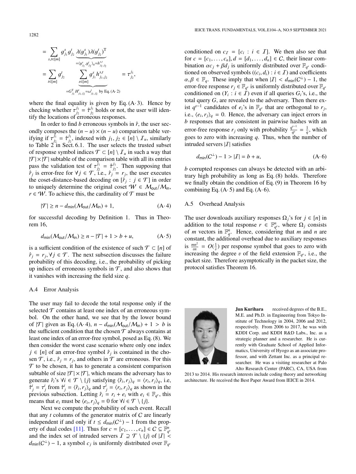$$
= \sum_{s,t \in [m]} g_{j_1}^s g_{j_2}^t \underbrace{\lambda(y_{j_1}^s) \lambda(y_{j_2}^t)^T}_{= \langle y_{j_1}^s, y_{j_2}^t \rangle_q = h_{j_1, j_2}^{s,t} }
$$
  

$$
= \sum_{t \in [m]} g_{j_2}^t \underbrace{\sum_{s \in [m]} g_{j_1}^s h_{j_1, j_2}^{s,t}}_{=G_{j_1}^T H'_{j_1, j_2} = \omega'_{j_1, j_2}^t \text{ by Eq. (A-2)}}
$$

where the final equality is given by Eq.  $(A \cdot 3)$ . Hence by checking whether  $\tau_{j_2}^{j_1}$  $j_2$  =  $\hat{\tau}^{j_1}_{j_2}$ <br>erronee  $j_2$  holds or not, the user will identify the locations of erroneous responses.

*j*1 *j*2 ,

In order to find  $b$  erroneous symbols in  $\hat{r}$ , the user secondly composes the  $(n - u) \times (n − u)$  comparison table verifying if  $\tau_{j_2}^{j_1}$ <br>to Table 2  $\hat{t}_j^{\hat{i}} = \hat{\tau}_{j_2}^{j_1}$ <br>
in Sec ifying if  $\tau_{j_2}^{j_1} = \hat{\tau}_{j_2}^{j_1}$ , indexed with  $j_1, j_2 \in [n] \setminus I_u$ , similarly to Table 2 in Sect. 6.1. The user selects the trusted subset of response symbol indices  $\mathcal{T} \subset [n] \setminus \mathcal{I}_u$  in such a way that  $|\mathcal{T}| \times |\mathcal{T}|$  subtable of the comparison table with all its entries pass the validation test of  $\tau_{j_2}^{j_1}$ <br>*f*<sub>1</sub> is error-free for  $\forall j \in \mathcal{T}$  is  $\hat{j}_1^1 = \hat{\tau}^{j_1}_{j_2}$ <br> **i** e  $\hat{r}$ .  $j_2$ . Then supposing that  $\hat{r}_j$  is error-free for  $\forall j \in \mathcal{T}$ , i.e.,  $\hat{r}_j = r_j$ , the user executes the coset-distance-based decoding on  $[\hat{r}_j : j \in \mathcal{T}]$  in order to uniquely determine the original coset  $W \in \mathcal{M}_{out}/\mathcal{M}_{in}$ ,  $r \in W$ . To achieve this, the cardinality of  $T$  must be

$$
|\mathcal{T}| \ge n - d_{\min}(\mathcal{M}_{\text{out}}/\mathcal{M}_{\text{in}}) + 1,\tag{A-4}
$$

for successful decoding by Definition 1. Thus in Theorem 16,

$$
d_{\min}(\mathcal{M}_{\text{out}}/\mathcal{M}_{\text{in}}) \ge n - |\mathcal{T}| + 1 > b + u,\tag{A-5}
$$

is a sufficient condition of the existence of such  $\mathcal{T} \subset [n]$  of  $\hat{r}_j = r_j, \forall j \in \mathcal{T}$ . The next subsection discusses the failure probability of this decoding i.e. the probability of picking probability of this decoding, i.e., the probability of picking up indices of erroneous symbols in  $\mathcal{T}$ , and also shows that it vanishes with increasing the field size *q*.

#### A.4 Error Analysis

The user may fail to decode the total response only if the selected  $\mathcal T$  contains at least one index of an erroneous symbol. On the other hand, we see that by the lower bound of  $|T|$  given as Eq. (A·4),  $n - d_{min}(M_{out}/M_{in}) + 1 > b$  is the sufficient condition that the chosen  $\mathcal T$  always contains at least one index of an error-free symbol, posed as Eq. (8). We then consider the worst case scenario where only one index *j* ∈ [*n*] of an error-free symbol  $\hat{r}_j$  is contained in the chosen  $\mathcal{T}$ , i.e.,  $\hat{r}_j = r_j$ , and others in  $\mathcal{T}$  are erroneous. For this  $\mathcal T$  to be chosen, it has to generate a consistent comparison subtable of size  $|\mathcal{T}| \times |\mathcal{T}|$ , which means the adversary has to generate  $\hat{r}_i$ 's  $\forall i \in \mathcal{T} \setminus \{j\}$  satisfying  $\langle \hat{r}_i, r_j \rangle_q = \langle r_i, r_j \rangle_q$ , i.e,  $\hat{\tau}^i - \tau^i$  from  $\hat{\tau}^i - \langle \hat{r}, r_j \rangle$  and  $\tau^i - \langle r, r_j \rangle$  as shown in the  $\hat{\tau}^i_j = \tau^i_j$  from  $\hat{\tau}^i_j = \langle \hat{r}_i, r_j \rangle_q$  and  $\tau^i_j = \langle r_i, r_j \rangle_q$  as shown in the previous subsection Letting  $\hat{r}_i = r_i + e_i$  with  $e_i \in \mathbb{R}$ . previous subsection. Letting  $\hat{r}_i = r_i + e_i$  with  $e_i \in \mathbb{F}_{q^v}$ , this means that  $e_i$  must be  $\langle e_i, r_j \rangle_q = 0$  for  $\forall i \in \mathcal{T} \setminus \{j\}$ .<br>Next we compute the probability of such even

Next we compute the probability of such event. Recall that any *t* columns of the generator matrix of C are linearly independent if and only if  $t \leq d_{\text{min}}(C^{\perp}) - 1$  from the prop-erty of dual codes [\[11\].](#page-10-4) Thus for  $c = [c_1, \ldots, c_n] \in C \subseteq \mathbb{F}_q^n$ <br>and the index set of intruded servers  $\mathcal{T} \supset \mathcal{T} \setminus \{i\}$  of  $|\mathcal{T}|$ . and the index set of intruded servers  $\overline{I} \supseteq \overline{T} \setminus \{j\}$  of  $|\overline{I}| \leq$  $d_{\text{min}}(C^{\perp}) - 1$ , a symbol  $c_j$  is uniformly distributed over  $\mathbb{F}_{q^d}$ 

conditioned on  $c_I = [c_i : i \in I]$ . We then also see that for  $c = [c_1, ..., c_n], d = [d_1, ..., d_n] \in C$ , their linear combination  $\alpha c_j + \beta d_j$  is uniformly distributed over  $\mathbb{F}_{q^p}$  conditioned on observed symbols  $((c, d) : i \in \mathcal{I})$  and coefficients tioned on observed symbols ((*c<sub>i</sub>*, *d<sub>i</sub>*) : *i* ∈ *I*) and coefficients  $\alpha$  *B* ∈ **F**<sub>*i*</sub>. These imply that when  $|I| < d$ <sub>nin</sub>( $C^{\perp}$ ) = 1, the  $\alpha, \beta \in \mathbb{F}_q$ . These imply that when  $|I| < d_{\text{min}}(C^{\perp}) - 1$ , the error-free response  $r \in \mathbb{F}_q$ , is uniformly distributed over  $\mathbb{F}_q$ . error-free response  $r_j \in \mathbb{F}_{q^v}$  is uniformly distributed over  $\mathbb{F}_{q^v}$ conditioned on  $(Y_i : i \in I)$  even if all queries  $G_i$ 's, i.e., the total query *G*, are revealed to the adversary. Then there exist  $q^{v-1}$  candidates of  $e_i$ 's in  $\mathbb{F}_{q^v}$  that are orthogonal to  $r_j$ , i.e.,  $\langle e_i, r_j \rangle_q = 0$ . Hence, the adversary can inject errors in<br>*h* responses that are consistent in pairwise hashes with an *b* responses that are consistent in pairwise hashes with an error-free response *r<sub>j</sub>* only with probability  $\frac{q^{p-1}}{q^p} = \frac{1}{q}$ , which goes to zero with increasing  $q$ . Thus, when the number of intruded servers  $|I|$  satisfies

$$
d_{\min}(C^{\perp}) - 1 > |I| = b + u,\tag{A-6}
$$

*b* corrupted responses can always be detected with an arbitrary high probability as long as Eq. (8) holds. Therefore we finally obtain the condition of Eq. (9) in Theorem 16 by combining Eq.  $(A \cdot 5)$  and Eq.  $(A \cdot 6)$ .

# A.5 Overhead Analysis

The user downloads auxiliary responses  $\Omega_j$ 's for  $j \in [n]$  in addition to the total response  $r \in \mathbb{F}_{q^v}^n$ , where  $\Omega_j$  consists of *m* vectors in  $\mathbb{F}_q^n$ . Hence, considering that *m* and *n* are constant, the additional overhead due to auxiliary responses is  $\frac{mn^2}{mn} = O(\frac{1}{n})$  per response symbol that goes to zero with increasing the degree v of the field extension  $\mathbb{F}_{q^v}$ , i.e., the<br>packet size. Therefore asymptotically in the packet size, the packet size. Therefore asymptotically in the packet size, the protocol satisfies Theorem 16.



Jun Kurihara received degrees of the B.E., M.E. and Ph.D. in Engineering from Tokyo Institute of Technology in 2004, 2006 and 2012, respectively. From 2006 to 2017, he was with KDDI Corp. and KDDI R&D Labs., Inc. as a strategic planner and a researcher. He is currently with Graduate School of Applied Informatics, University of Hyogo as an associate professor, and with Zettant Inc. as a principal researcher. He was a visiting researcher at Palo Alto Research Center (PARC), CA, USA from

2013 to 2014. His research interests include coding theory and networking architecture. He received the Best Paper Award from IEICE in 2014.